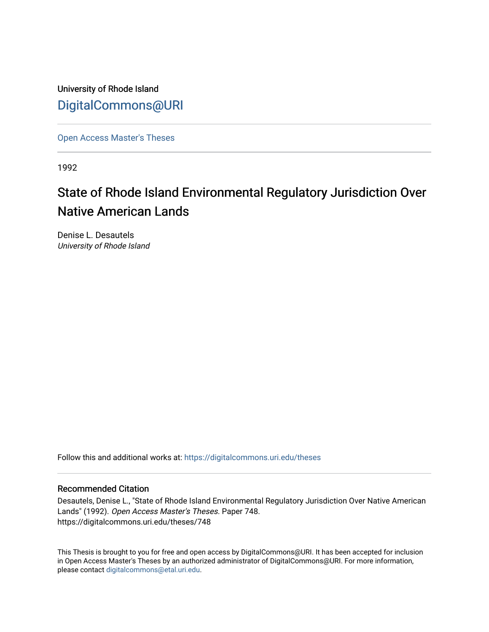University of Rhode Island [DigitalCommons@URI](https://digitalcommons.uri.edu/) 

[Open Access Master's Theses](https://digitalcommons.uri.edu/theses) 

1992

# State of Rhode Island Environmental Regulatory Jurisdiction Over Native American Lands

Denise L. Desautels University of Rhode Island

Follow this and additional works at: [https://digitalcommons.uri.edu/theses](https://digitalcommons.uri.edu/theses?utm_source=digitalcommons.uri.edu%2Ftheses%2F748&utm_medium=PDF&utm_campaign=PDFCoverPages)

#### Recommended Citation

Desautels, Denise L., "State of Rhode Island Environmental Regulatory Jurisdiction Over Native American Lands" (1992). Open Access Master's Theses. Paper 748. https://digitalcommons.uri.edu/theses/748

This Thesis is brought to you for free and open access by DigitalCommons@URI. It has been accepted for inclusion in Open Access Master's Theses by an authorized administrator of DigitalCommons@URI. For more information, please contact [digitalcommons@etal.uri.edu.](mailto:digitalcommons@etal.uri.edu)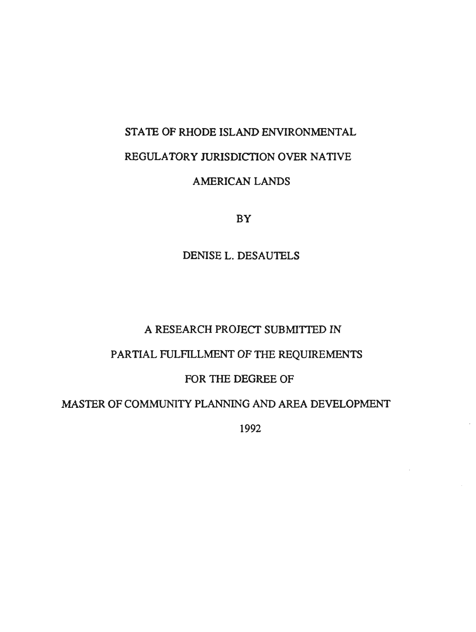# STATE OF RHODE ISLAND ENVIRONMENTAL REGULATORY JURISDICTION OVER NATIVE

# AMERICAN LANDS

BY

DENISE L. DESAUTELS

# A RESEARCH PROJECT SUBMITTED IN

# PARTIAL FULFILLMENT OF THE REQUIREMENTS

## FOR THE DEGREE OF

# MASTER OF COMMUNITY PLANNING AND AREA DEVELOPMENT

1992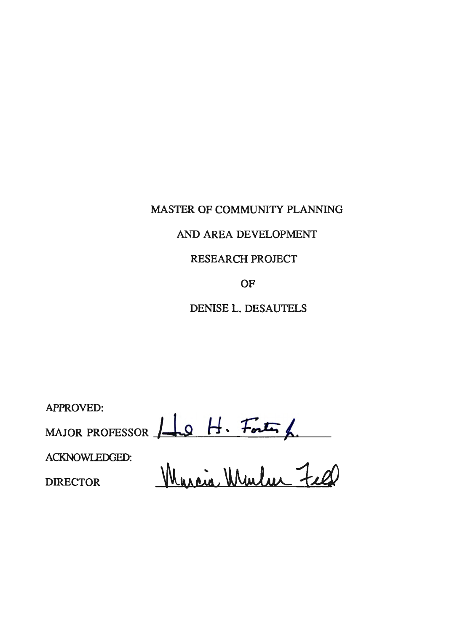MASTER OF COMMUNITY PLANNING

# AND AREA DEVELOPMENT

# RESEARCH PROJECT

OF

DENISE L. DESAUTELS

APPROVED: MAJOR PROFESSOR  $\Box$ 9  $H \cdot$  *Forty*  $\Box$ 

ACKNOWLEDGED:

DIRECTOR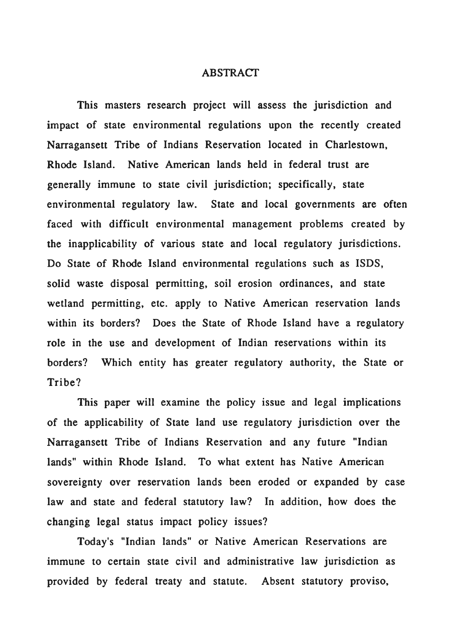## **ABSTRACT**

This masters research project will assess the jurisdiction and impact of state environmental regulations upon the recently created Narragansett Tribe of Indians Reservation located in Charlestown, Rhode Island. Native American lands held in federal trust are generally immune to state civil jurisdiction; specifically, state environmental regulatory law. State and local governments are often faced with difficult environmental management problems created by the inapplicability of various state and local regulatory jurisdictions. Do State of Rhode Island environmental regulations such as ISDS, solid waste disposal permitting, soil erosion ordinances, and state wetland permitting, etc. apply to Native American reservation lands within its borders? Does the State of Rhode Island have a regulatory role in the use and development of Indian reservations within its borders? Which entity has greater regulatory authority, the State or Tribe?

This paper will examine the policy issue and legal implications of the applicability of State land use regulatory jurisdiction over the Narragansett Tribe of Indians Reservation and any future "Indian lands" within Rhode Island. To what extent has Native American sovereignty over reservation lands been eroded or expanded by case law and state and federal statutory law? In addition, how does the changing legal status impact policy issues?

Today's "Indian lands" or Native American Reservations are immune to certain state civil and administrative law jurisdiction as provided by federal treaty and statute. Absent statutory proviso,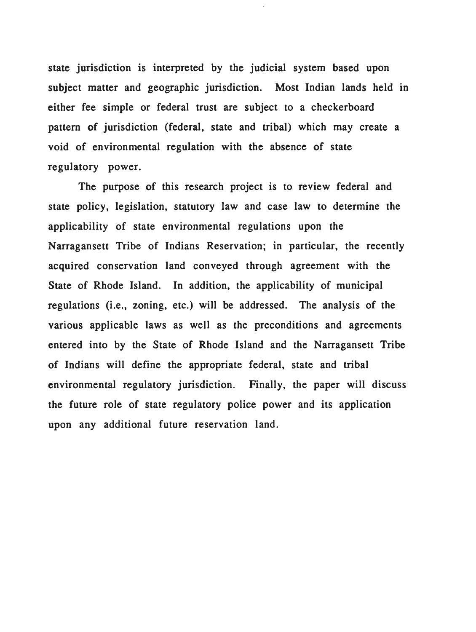state jurisdiction is interpreted by the judicial system based upon subject matter and geographic jurisdiction. Most Indian lands held in either fee simple or federal trust are subject to a checkerboard pattern of jurisdiction (federal, state and tribal) which may create a void of environmental regulation with the absence of state regulatory power.

The purpose of this research project is to review federal and state policy, legislation, statutory law and case law to determine the applicability of state environmental regulations upon the Narragansett Tribe of Indians Reservation; in particular, the recently acquired conservation land conveyed through agreement with the State of Rhode Island. In addition, the applicability of municipal regulations (i.e., zoning, etc.) will be addressed. The analysis of the various applicable laws as well as the preconditions and agreements entered into by the State of Rhode Island and the Narragansett Tribe of Indians will define the appropriate federal, state and tribal environmental regulatory jurisdiction. Finally, the paper will discuss the future role of state regulatory police power and its application upon any additional future reservation land.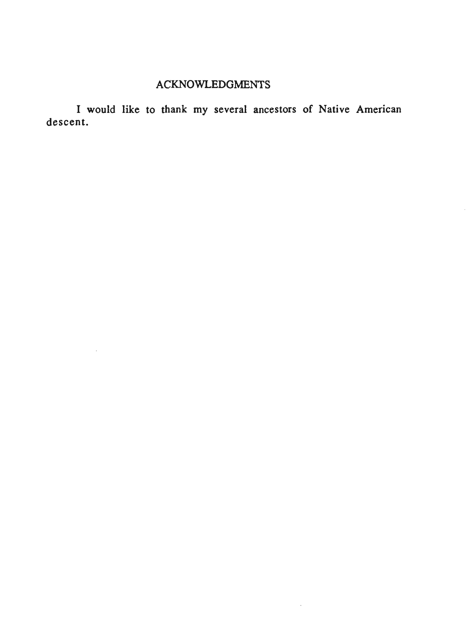# ACKNOWLEDGMENTS

 $\bar{\mathcal{A}}$ 

I would like to thank my several ancestors of Native American descent.

 $\mathcal{A}$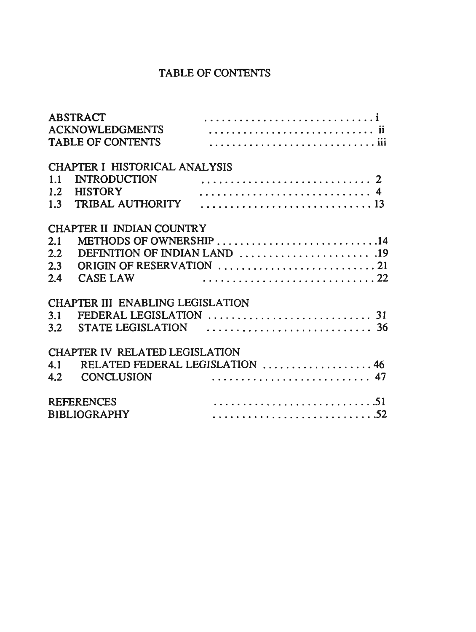# TABLE OF CONTENTS

|                                  | <b>ABSTRACT</b>               |                                 |
|----------------------------------|-------------------------------|---------------------------------|
|                                  |                               |                                 |
|                                  | <b>TABLE OF CONTENTS</b>      |                                 |
|                                  | CHAPTER I HISTORICAL ANALYSIS |                                 |
| 1.1                              | <b>INTRODUCTION</b>           |                                 |
|                                  | 1.2 HISTORY                   |                                 |
|                                  |                               |                                 |
| 1.3                              |                               |                                 |
| CHAPTER II INDIAN COUNTRY        |                               |                                 |
| 2.1                              |                               | METHODS OF OWNERSHIP 14         |
| 2.2                              |                               |                                 |
| 2.3                              |                               |                                 |
| 2.4                              | <b>CASE LAW</b>               |                                 |
|                                  |                               |                                 |
| CHAPTER III ENABLING LEGISLATION |                               |                                 |
| 3.1                              |                               |                                 |
|                                  |                               |                                 |
| CHAPTER IV RELATED LEGISLATION   |                               |                                 |
| 4.1                              |                               | RELATED FEDERAL LEGISLATION  46 |
|                                  | 4.2 CONCLUSION                |                                 |
|                                  |                               |                                 |
| $\cdots$ 51<br><b>REFERENCES</b> |                               |                                 |
| <b>BIBLIOGRAPHY</b>              |                               |                                 |
|                                  |                               |                                 |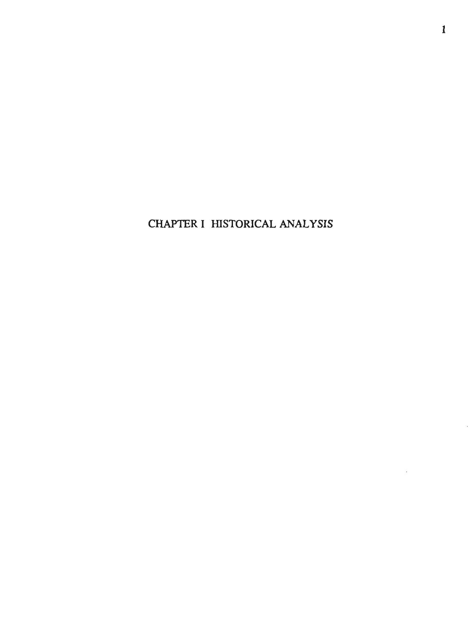CHAPTER I HISTORICAL ANALYSIS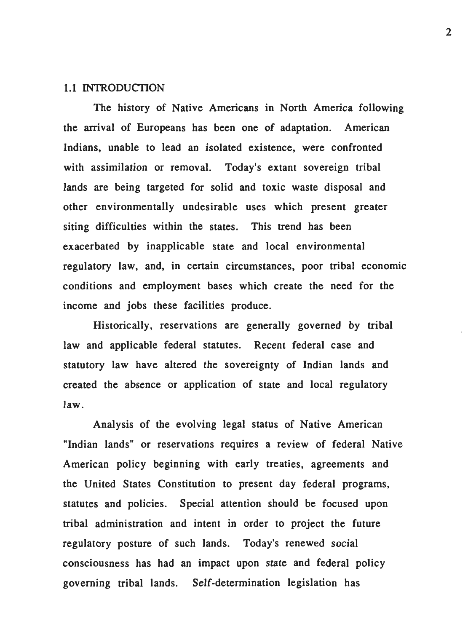#### 1.1 INTRODUCTION

The history of Native Americans in North America following the arrival of Europeans has been one of adaptation. American Indians, unable to lead an isolated existence, were confronted with assimilation or removal. Today's extant sovereign tribal lands are being targeted for solid and toxic waste disposal and other environmentally undesirable uses which present greater siting difficulties within the states. This trend has been exacerbated by inapplicable state and local environmental regulatory law, and, in certain circumstances, poor tribal economic conditions and employment bases which create the need for the income and jobs these facilities produce.

Historically, reservations are generally governed by tribal law and applicable federal statutes. Recent federal case and statutory law have altered the sovereignty of Indian lands and created the absence or application of state and local regulatory law.

Analysis of the evolving legal status of Native American "Indian lands" or reservations requires a review of federal Native American policy beginning with early treaties, agreements and the United States Constitution to present day federal programs, statutes and policies. Special attention should be focused upon tribal administration and intent in order to project the future regulatory posture of such lands. Today's renewed social consciousness has had an impact upon state and federal policy governing tribal lands. Self-determination legislation has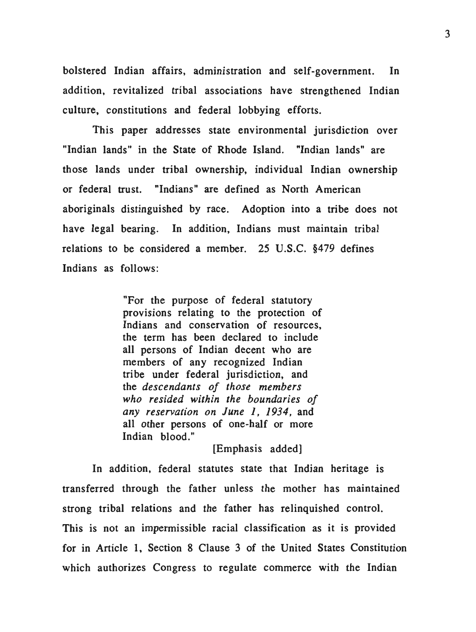bolstered Indian affairs, administration and self-government. In addition, revitalized tribal associations have strengthened Indian culture, constitutions and federal lobbying efforts.

This paper addresses state environmental jurisdiction over "Indian lands" in the State of Rhode Island. "Indian lands" are those lands under tribal ownership, individual Indian ownership or federal trust. "Indians" are defined as North American aboriginals distinguished by race. Adoption into a tribe does not have legal bearing. In addition, Indians must maintain tribal relations to be considered a member. 25 U.S.C. §479 defines Indians as follows:

> "For the purpose of federal statutory provisions relating to the protection of Indians and conservation of resources, the term has been declared to include all persons of Indian decent who are members of any recognized Indian tribe under federal jurisdiction, and the *descendants of those members who resided within the boundaries of any reservation on June 1, 1934,* and all other persons of one-half or more Indian blood."

> > [Emphasis added]

In addition, federal statutes state that Indian heritage is transferred through the father unless the mother has maintained strong tribal relations and the father has relinquished control. This is not an impermissible racial classification as it is provided for in Article 1, Section 8 Clause 3 of the United States Constitution which authorizes Congress to regulate commerce with the Indian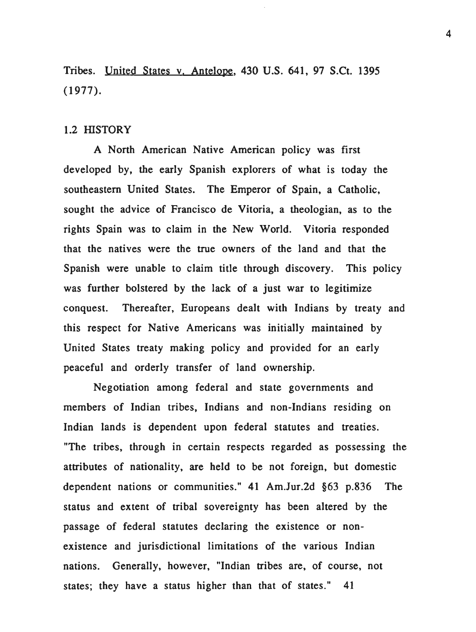Tribes. United States v. Antelope, 430 U.S. 641, 97 S.Ct. 1395 (1977).

#### 1.2 HISTORY

A North American Native American policy was first developed by, the early Spanish explorers of what is today the southeastern United States. The Emperor of Spain, a Catholic, sought the advice of Francisco de Vitoria, a theologian, as to the rights Spain was to claim in the New World. Vitoria responded that the natives were the true owners of the land and that the Spanish were unable to claim title through discovery. This policy was further bolstered by the lack of a just war to legitimize conquest. Thereafter, Europeans dealt with Indians by treaty and this respect for Native Americans was initially maintained by United States treaty making policy and provided for an early peaceful and orderly transfer of land ownership.

Negotiation among federal and state governments and members of Indian tribes, Indians and non-Indians residing on Indian lands is dependent upon federal statutes and treaties. "The tribes, through in certain respects regarded as possessing the attributes of nationality, are held to be not foreign, but domestic dependent nations or communities." 41 Am.Jur.2d §63 p.836 The status and extent of tribal sovereignty has been altered by the passage of federal statutes declaring the existence or nonexistence and jurisdictional limitations of the various Indian nations. Generally, however, "Indian tribes are, of course, not states; they have a status higher than that of states." 41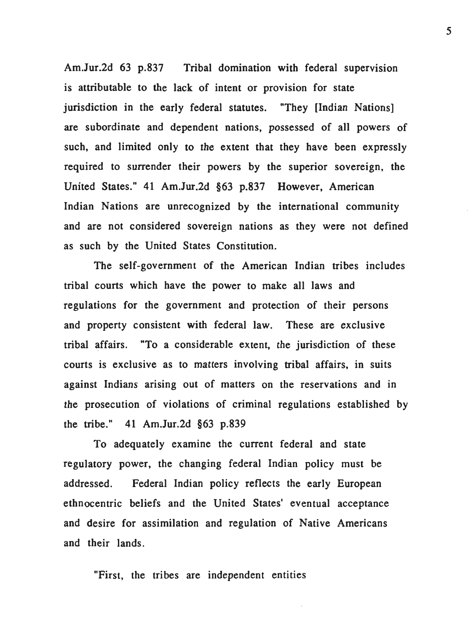Am.Jur.2d 63 p.837 Tribal domination with federal supervision is attributable to the lack of intent or provision for state jurisdiction in the early federal statutes. "They [Indian Nations] are subordinate and dependent nations, possessed of all powers of such, and limited only to the extent that they have been expressly required to surrender their powers by the superior sovereign, the United States." 41 Am.Jur.2d §63 p.837 However, American Indian Nations are unrecognized by the international community and are not considered sovereign nations as they were not defined as such by the United States Constitution.

The self-government of the American Indian tribes includes tribal courts which have the power to make all laws and regulations for the government and protection of their persons and property consistent with federal law. These are exclusive tribal affairs. "To a considerable extent, the jurisdiction of these courts is exclusive as to matters involving tribal affairs, in suits against Indians arising out of matters on the reservations and in the prosecution of violations of criminal regulations established by the tribe." 41 Am.Jur.2d §63 p.839

To adequately examine the current federal and state regulatory power, the changing federal Indian policy must be addressed. Federal Indian policy reflects the early European ethnocentric beliefs and the United States' eventual acceptance and desire for assimilation and regulation of Native Americans and their lands.

"First, the tribes are independent entities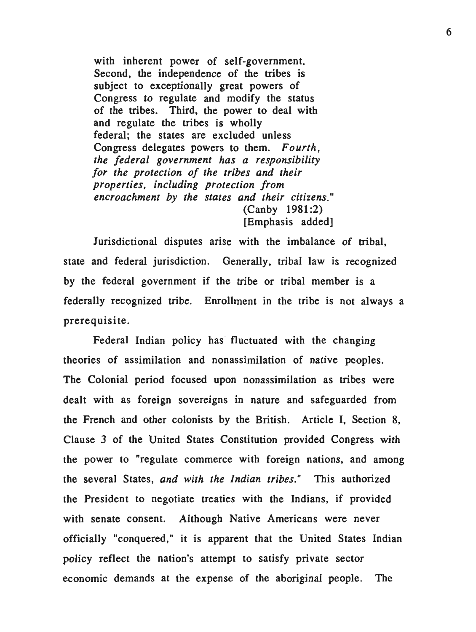with inherent power of self-government. Second, the independence of the tribes is subject to exceptionally great powers of Congress to regulate and modify the status of the tribes. Third, the power to deal with and regulate the tribes is wholly federal; the states are excluded unless Congress delegates powers to them. *Fourth, the federal government has a responsibility for the protection of the tribes and their properties, including protection from encroachment by the states and their citizens."*  (Canby 1981 :2) [Emphasis added]

Jurisdictional disputes arise with the imbalance of tribal, state and federal jurisdiction. Generally, tribal law is recognized by the federal government if the tribe or tribal member is a federally recognized tribe. Enrollment in the tribe is not always a prerequisite.

Federal Indian policy has fluctuated with the changing theories of assimilation and nonassimilation of native peoples. The Colonial period focused upon nonassimilation as tribes were dealt with as foreign sovereigns in nature and safeguarded from the French and other colonists by the British. Article I, Section 8, Clause 3 of the United States Constitution provided Congress with the power to "regulate commerce with foreign nations, and among the several States, *and with the Indian tribes."* This authorized the President to negotiate treaties with the Indians, if provided with senate consent. Although Native Americans were never officially "conquered," it is apparent that the United States Indian policy reflect the nation's attempt to satisfy private sector economic demands at the expense of the aboriginal people. The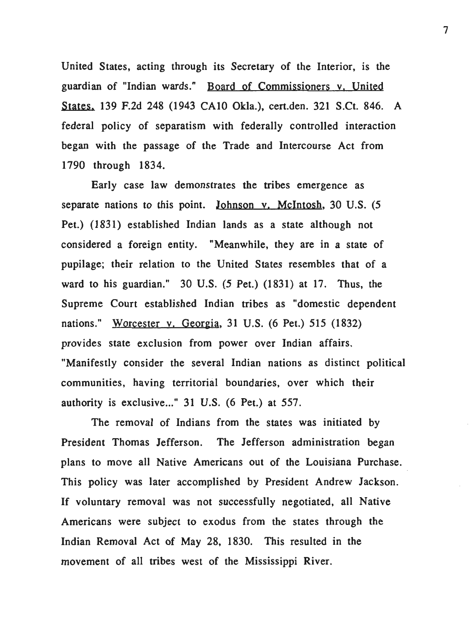United States, acting through its Secretary of the Interior, is the guardian of "Indian wards." Board of Commissioners v. United States. 139 F.2d 248 (1943 CAlO Okla.), cert.den. 321 S.Ct. 846. A federal policy of separatism with federally controlled interaction began with the passage of the Trade and Intercourse Act from 1790 through 1834.

Early case law demonstrates the tribes emergence as separate nations to this point. Johnson y, McIntosh, 30 U.S. (5) Pet.) (1831) established Indian lands as a state although not considered a foreign entity. "Meanwhile, they are in a state of pupilage; their relation to the United States resembles that of a ward to his guardian." 30 U.S. (5 Pet.) (1831) at 17. Thus, the Supreme Court established Indian tribes as "domestic dependent nations." Worcester v. Georgia, 31 U.S. (6 Pet.) 515 (1832) provides state exclusion from power over Indian affairs. "Manifestly consider the several Indian nations as distinct political communities, having territorial boundaries, over which their authority is exclusive..." 31 U.S. (6 Pet.) at 557.

The removal of Indians from the states was initiated by President Thomas Jefferson. The Jefferson administration began plans to move all Native Americans out of the Louisiana Purchase. This policy was later accomplished by President Andrew Jackson. If voluntary removal was not successfully negotiated, all Native Americans were subject to exodus from the states through the Indian Removal Act of May 28, 1830. This resulted in the movement of all tribes west of the Mississippi River.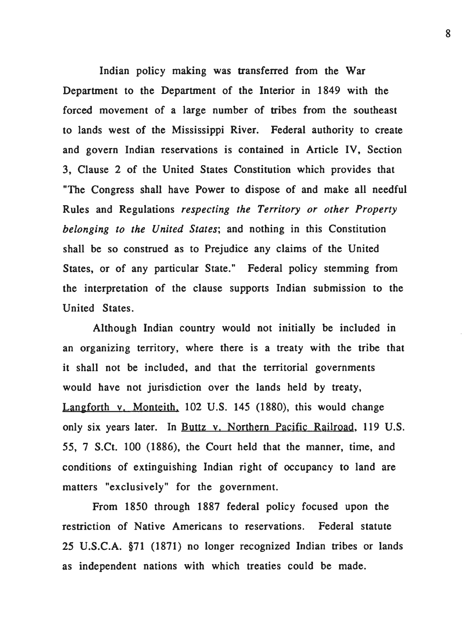Indian policy making was transferred from the War Department to the Department of the Interior in 1849 with the forced movement of a large number of tribes from the southeast to lands west of the Mississippi River. Federal authority to create and govern Indian reservations is contained in Article IV, Section 3, Clause 2 of the United States Constitution which provides that "The Congress shall have Power to dispose of and make all needful Rules and Regulations *respecting the Territory or other Property belonging to the United States;* and nothing in this Constitution shall be so construed as to Prejudice any claims of the United States, or of any particular State." Federal policy stemming from the interpretation of the clause supports Indian submission to the United States.

Although Indian country would not initially be included in an organizing territory, where there is a treaty with the tribe that it shall not be included, and that the territorial governments would have not jurisdiction over the lands held by treaty, Langforth v. Monteith, 102 U.S. 145 (1880), this would change only six years later. In Buttz v. Northern Pacific Railroad, 119 U.S. 55, 7 S.Ct. 100 (1886), the Court held that the manner, time, and conditions of extinguishing Indian right of occupancy to land are matters "exclusively" for the government.

From 1850 through 1887 federal policy focused upon the restriction of Native Americans to reservations. Federal statute 25 U.S.C.A. §71 (1871) no longer recognized Indian tribes or lands as independent nations with which treaties could be made.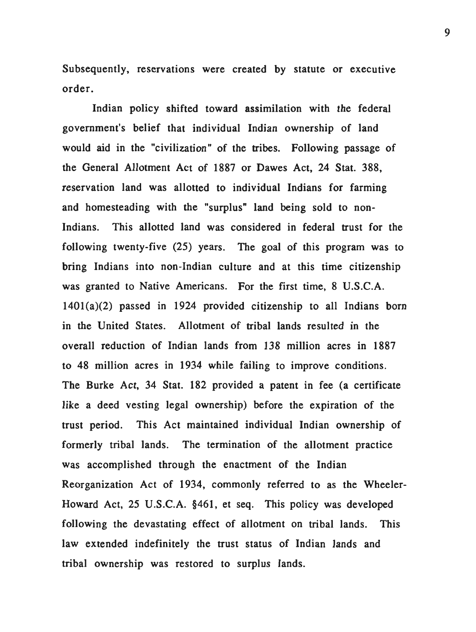Subsequently, reservations were created by statute or executive order.

Indian policy shifted toward assimilation with the federal government's belief that individual Indian ownership of land would aid in the "civilization" of the tribes. Following passage of the General Allotment Act of 1887 or Dawes Act, 24 Stat. 388, reservation land was allotted to individual Indians for farming and homesteading with the "surplus" land being sold to non-Indians. This allotted land was considered in federal trust for the following twenty-five (25) years. The goal of this program was to bring Indians into non-Indian culture and at this time citizenship was granted to Native Americans. For the first time, 8 U.S.C.A. 1401(a)(2) passed in 1924 provided citizenship to all Indians born in the United States. Allotment of tribal lands resulted in the overall reduction of Indian lands from 138 million acres in 1887 to 48 million acres in 1934 while failing to improve conditions. The Burke Act, 34 Stat. 182 provided a patent in fee (a certificate like a deed vesting legal ownership) before the expiration of the trust period. This Act maintained individual Indian ownership of formerly tribal lands. The termination of the allotment practice was accomplished through the enactment of the Indian Reorganization Act of 1934, commonly referred to as the Wheeler-Howard Act, 25 U.S.C.A. §461, et seq. This policy was developed following the devastating effect of allotment on tribal lands. This law extended indefinitely the trust status of Indian lands and tribal ownership was restored to surplus lands.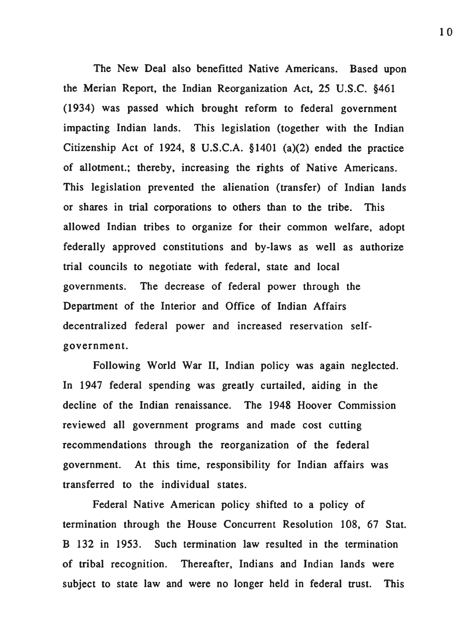The New Deal also benefitted Native Americans. Based upon the Merian Report, the Indian Reorganization Act, 25 U.S.C. §461 (1934) was passed which brought reform to federal government impacting Indian lands. This legislation (together with the Indian Citizenship Act of 1924, 8 U.S.C.A. §1401 (a)(2) ended the practice of allotment.; thereby, increasing the rights of Native Americans. This legislation prevented the alienation (transfer) of Indian lands or shares in trial corporations to others than to the tribe. This allowed Indian tribes to organize for their common welfare, adopt federally approved constitutions and by-laws as well as authorize trial councils to negotiate with federal, state and local governments. The decrease of federal power through the Department of the Interior and Office of Indian Affairs decentralized federal power and increased reservation selfgovernment.

Following World War II, Indian policy was again neglected. In 1947 federal spending was greatly curtailed, aiding in the decline of the Indian renaissance. The 1948 Hoover Commission reviewed all government programs and made cost cutting recommendations through the reorganization of the federal government. At this time, responsibility for Indian affairs was transferred to the individual states.

Federal Native American policy shifted to a policy of termination through the House Concurrent Resolution 108, 67 Stat. B 132 in 1953. Such termination law resulted in the termination of tribal recognition. Thereafter, Indians and Indian lands were subject to state law and were no longer held in federal trust. This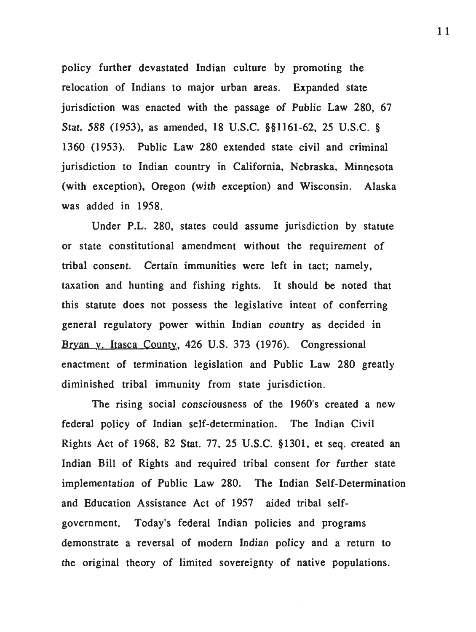policy further devastated Indian culture by promoting the relocation of Indians to major urban areas. Expanded state jurisdiction was enacted with the passage of Public Law 280, 67 Stat. 588 (1953), as amended, 18 U.S.C. §§1161-62, 25 U.S.C. § 1360 (1953 ). Public Law 280 extended state civil and criminal jurisdiction to Indian country in California, Nebraska, Minnesota (with exception), Oregon (with exception) and Wisconsin. Alaska was added in 1958.

Under P.L. 280, states could assume jurisdiction by statute or state constitutional amendment without the requirement of tribal consent. Certain immunities were left in tact; namely, taxation and hunting and fishing rights. It should be noted that this statute does not possess the legislative intent of conferring general regulatory power within Indian country as decided in Bryan v. Itasca County, 426 U.S. 373 (1976). Congressional enactment of termination legislation and Public Law 280 greatly diminished tribal immunity from state jurisdiction.

The rising social consciousness of the 1960's created a new federal policy of Indian self-determination. The Indian Civil Rights Act of 1968, 82 Stat. 77, 25 U.S.C. § 1301, et seq. created an Indian Bill of Rights and required tribal consent for further state implementation of Public Law 280. The Indian Self-Determination and Education Assistance Act of 1957 aided tribal selfgovemment. Today's federal Indian policies and programs demonstrate a reversal of modern Indian policy and a return to the original theory of limited sovereignty of native populations.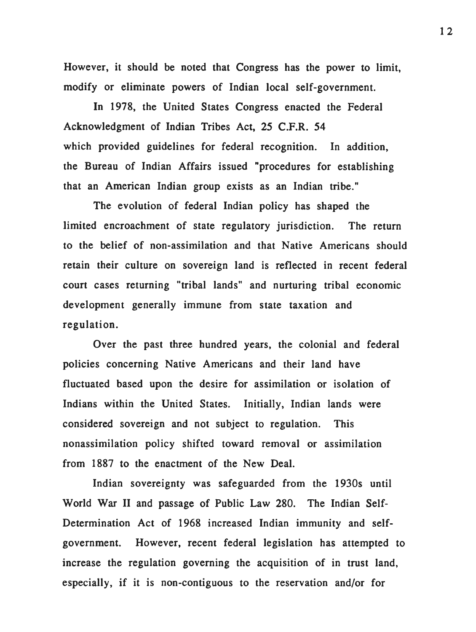However, it should be noted that Congress has the power to limit, modify or eliminate powers of Indian local self-government.

In 1978, the United States Congress enacted the Federal Acknowledgment of Indian Tribes Act, 25 C.F.R. 54 which provided guidelines for federal recognition. In addition, the Bureau of Indian Affairs issued "procedures for establishing that an American Indian group exists as an Indian tribe."

The evolution of federal Indian policy has shaped the limited encroachment of state regulatory jurisdiction. The return to the belief of non-assimilation and that Native Americans should retain their culture on sovereign land is reflected in recent federal court cases returning "tribal lands" and nurturing tribal economic development generally immune from state taxation and regulation.

Over the past three hundred years, the colonial and federal policies concerning Native Americans and their land have fluctuated based upon the desire for assimilation or isolation of Indians within the United States. Initially, Indian lands were considered sovereign and not subject to regulation. This nonassimilation policy shifted toward removal or assimilation from 1887 to the enactment of the New Deal.

Indian sovereignty was safeguarded from the 1930s until World War II and passage of Public Law 280. The Indian Self-Determination Act of 1968 increased Indian immunity and selfgovernment. However, recent federal legislation has attempted to increase the regulation governing the acquisition of in trust land, especially, if it is non-contiguous to the reservation and/or for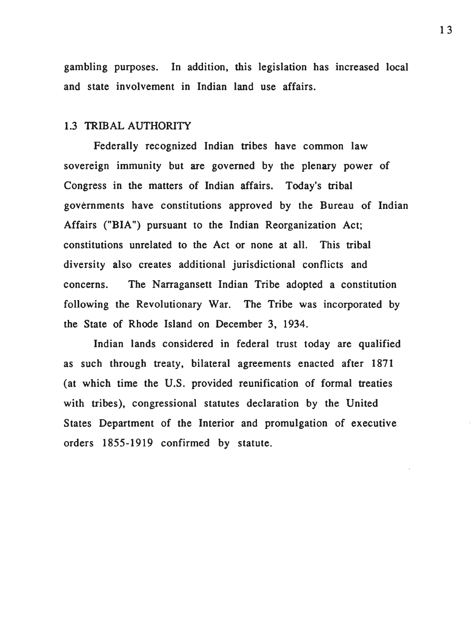gambling purposes. In addition, this legislation has increased local and state involvement in Indian land use affairs.

## 1.3 TRIBAL AUTHORITY

Federally recognized Indian tribes have common law sovereign immunity but are governed by the plenary power of Congress in the matters of Indian affairs. Today's tribal governments have constitutions approved by the Bureau of Indian Affairs ("BIA") pursuant to the Indian Reorganization Act; constitutions unrelated to the Act or none at all. This tribal diversity also creates additional jurisdictional conflicts and concerns. The Narragansett Indian Tribe adopted a constitution following the Revolutionary War. The Tribe was incorporated by the State of Rhode Island on December 3, 1934.

Indian lands considered in federal trust today are qualified as such through treaty, bilateral agreements enacted after 1871 (at which time the U.S. provided reunification of formal treaties with tribes), congressional statutes declaration by the United States Department of the Interior and promulgation of executive orders 1855-1919 confirmed by statute.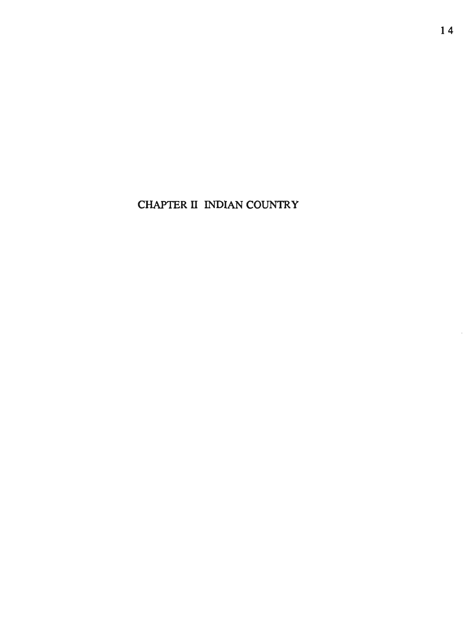CHAPTER II INDIAN COUNTRY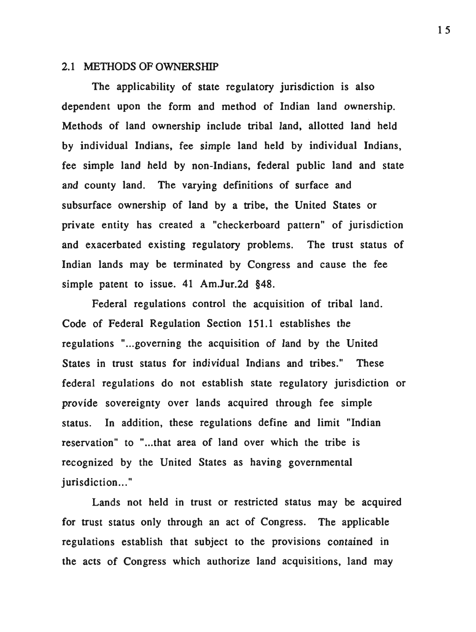#### 2.1 METHODS OF OWNERSHIP

The applicability of state regulatory jurisdiction is also dependent upon the form and method of Indian land ownership. Methods of land ownership include tribal land, allotted land held by individual Indians, fee simple land held by individual Indians, fee simple land held by non-Indians, federal public land and state and county land. The varying definitions of surface and subsurface ownership of land by a tribe, the United States or private entity has created a "checkerboard pattern" of jurisdiction and exacerbated existing regulatory problems. The trust status of Indian lands may be terminated by Congress and cause the fee simple patent to issue. 41 Am.Jur.2d §48.

Federal regulations control the acquisition of tribal land. Code of Federal Regulation Section 151.1 establishes the regulations "...governing the acquisition of land by the United States in trust status for individual Indians and tribes." These federal regulations do not establish state regulatory jurisdiction or provide sovereignty over lands acquired through fee simple status. In addition, these regulations define and limit "Indian reservation" to "...that area of land over which the tribe is recognized by the United States as having governmental jurisdiction..."

Lands not held in trust or restricted status may be acquired for trust status only through an act of Congress. The applicable regulations establish that subject to the provisions contained in the acts of Congress which authorize land acquisitions, land may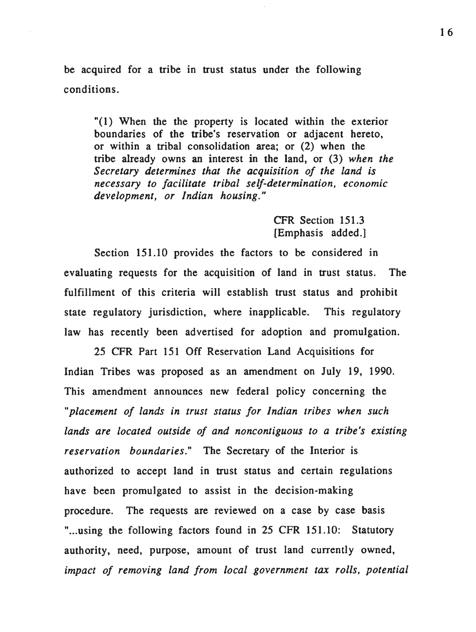be acquired for a tribe in trust status under the following conditions.

"(1) When the the property is located within the exterior boundaries of the tribe's reservation or adjacent hereto, or within a tribal consolidation area; or (2) when the tribe already owns an interest in the land, or (3) *when the Secretary determines that the acquisition of the land is necessary to facilitate tribal self-determination, economic development, or Indian housing."* 

> CFR Section 151.3 [Emphasis added.]

Section 151.10 provides the factors to be considered in evaluating requests for the acquisition of land in trust status. The fulfillment of this criteria will establish trust status and prohibit state regulatory jurisdiction, where inapplicable. This regulatory law has recently been advertised for adoption and promulgation.

25 CFR Part 151 Off Reservation Land Acquisitions for Indian Tribes was proposed as an amendment on July 19, 1990. This amendment announces new federal policy concerning the *"placement of lands in trust status for Indian tribes when such lands are located outside of and noncontiguous to a tribe's existing reservation boundaries."* The Secretary of the Interior is authorized to accept land in trust status and certain regulations have been promulgated to assist in the decision-making procedure. The requests are reviewed on a case by case basis "...using the following factors found in 25 CFR 151.10: Statutory authority, need, purpose, amount of trust land currently owned, *impact of removing land from local government tax rolls, potential*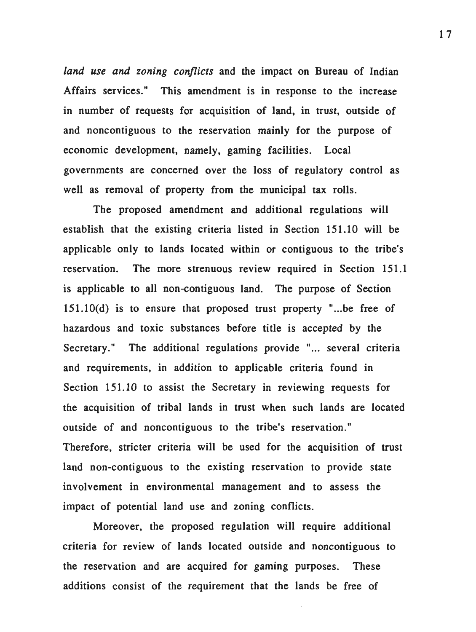*land use and zoning conflicts* and the impact on Bureau of Indian Affairs services." This amendment is in response to the increase in number of requests for acquisition of land, in trust, outside of and noncontiguous to the reservation mainly for the purpose of economic development, namely, gaming facilities. Local governments are concerned over the loss of regulatory control as well as removal of property from the municipal tax rolls.

The proposed amendment and additional regulations will establish that the existing criteria listed in Section 151.10 will be applicable only to lands located within or contiguous to the tribe's reservation. The more strenuous review required in Section 151.1 is applicable to all non-contiguous land. The purpose of Section  $151.10(d)$  is to ensure that proposed trust property "... be free of hazardous and toxic substances before title is accepted by the Secretary." The additional regulations provide "... several criteria and requirements, in addition to applicable criteria found in Section 151.10 to assist the Secretary in reviewing requests for the acquisition of tribal lands in trust when such lands are located outside of and noncontiguous to the tribe's reservation." Therefore, stricter criteria will be used for the acquisition of trust land non-contiguous to the existing reservation to provide state involvement in environmental management and to assess the impact of potential land use and zoning conflicts.

Moreover, the proposed regulation will require additional criteria for review of lands located outside and noncontiguous to the reservation and are acquired for gaming purposes. These additions consist of the requirement that the lands be free of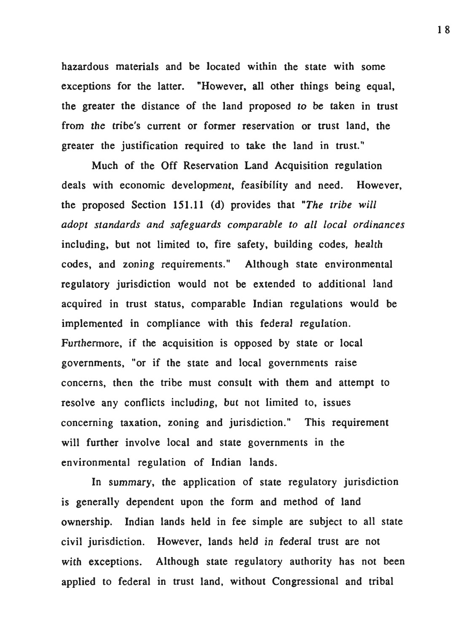hazardous materials and be located within the state with some exceptions for the latter. "However, all other things being equal, the greater the distance of the land proposed to be taken in trust from the tribe's current or former reservation or trust land, the greater the justification required to take the land in trust."

Much of the Off Reservation Land Acquisition regulation deals with economic development, feasibility and need. However, the proposed Section 151.11 (d) provides that *"The tribe will adopt standards and safeguards comparable to all local ordinances*  including, but not limited to, fire safety, building codes, health codes, and zoning requirements." Although state environmental regulatory jurisdiction would not be extended to additional land acquired in trust status, comparable Indian regulations would be implemented in compliance with this federal regulation. Furthermore, if the acquisition is opposed by state or local governments, "or if the state and local governments raise concerns, then the tribe must consult with them and attempt to resolve any conflicts including, but not limited to, issues concerning taxation, zoning and jurisdiction." This requirement will further involve local and state governments in the environmental regulation of Indian lands.

In summary, the application of state regulatory jurisdiction is generally dependent upon the form and method of land ownership. Indian lands held in fee simple are subject to all state civil jurisdiction. However, lands held in federal trust are not with exceptions. Although state regulatory authority has not been applied to federal in trust land, without Congressional and tribal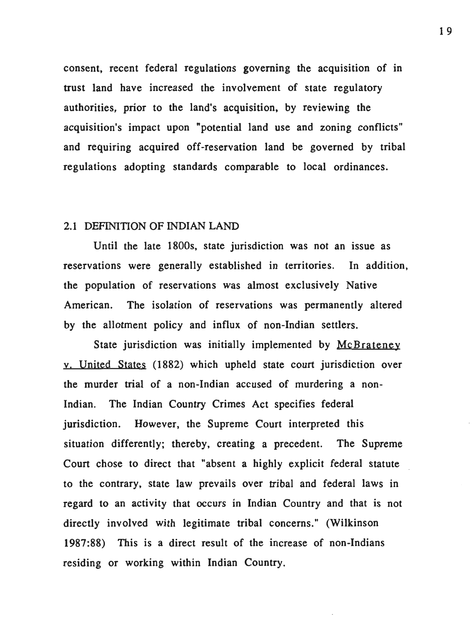consent, recent federal regulations governing the acquisition of in trust land have increased the involvement of state regulatory authorities, prior to the land's acquisition, by reviewing the acquisition's impact upon "potential land use and zoning conflicts" and requiring acquired off-reservation land be governed by tribal regulations adopting standards comparable to local ordinances.

#### 2.1 DEFINITION OF INDIAN LAND

Until the late 1800s, state jurisdiction was not an issue as reservations were generally established in territories. In addition, the population of reservations was almost exclusively Native American. The isolation of reservations was permanently altered by the allotment policy and influx of non-Indian settlers.

State jurisdiction was initially implemented by McBrateney v. United States (1882) which upheld state court jurisdiction over the murder trial of a non-Indian accused of murdering a non-Indian. The Indian Country Crimes Act specifies federal jurisdiction. However, the Supreme Court interpreted this situation differently; thereby, creating a precedent. The Supreme Court chose to direct that "absent a highly explicit federal statute to the contrary, state law prevails over tribal and federal laws in regard to an activity that occurs in Indian Country and that is not directly involved with legitimate tribal concerns." (Wilkinson 1987:88) This is a direct result of the increase of non-Indians residing or working within Indian Country.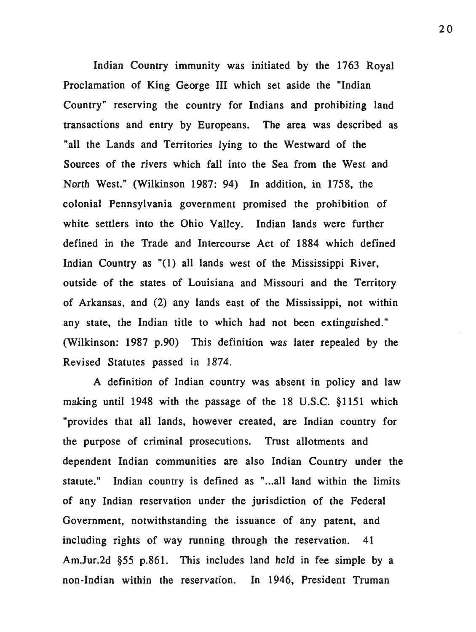Indian Country immunity was initiated by the 1763 Royal Proclamation of King George III which set aside the "Indian Country" reserving the country for Indians and prohibiting land transactions and entry by Europeans. The area was described as "all the Lands and Territories lying to the Westward of the Sources of the rivers which fall into the Sea from the West and North West." (Wilkinson 1987: 94) In addition, in 1758, the colonial Pennsylvania government promised the prohibition of white settlers into the Ohio Valley. Indian lands were further defined in the Trade and Intercourse Act of 1884 which defined Indian Country as "(1) all lands west of the Mississippi River, outside of the states of Louisiana and Missouri and the Territory of Arkansas, and (2) any lands east of the Mississippi, not within any state, the Indian title to which had not been extinguished." (Wilkinson: 1987 p.90) This definition was later repealed by the Revised Statutes passed in 1874.

A definition of Indian country was absent in policy and law making until 1948 with the passage of the 18 U.S.C. §1151 which "provides that all lands, however created, are Indian country for the purpose of criminal prosecutions. Trust allotments and dependent Indian communities are also Indian Country under the statute." Indian country is defined as "...all land within the limits of any Indian reservation under the jurisdiction of the Federal Government, notwithstanding the issuance of any patent, and including rights of way running through the reservation. 41 Am.Jur.2d §55 p.861. This includes land held in fee simple by a non-Indian within the reservation. In 1946, President Truman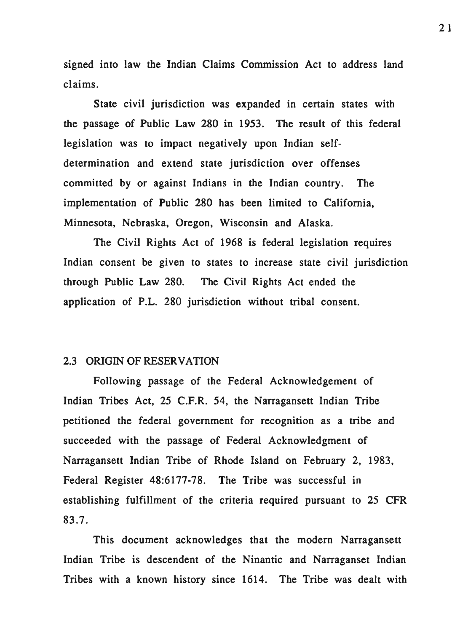signed into law the Indian Claims Commission Act to address land claims.

State civil jurisdiction was expanded in certain states with the passage of Public Law 280 in 1953. The result of this federal legislation was to impact negatively upon Indian selfdetermination and extend state jurisdiction over offenses committed by or against Indians in the Indian country. The implementation of Public 280 has been limited to California, Minnesota, Nebraska, Oregon, Wisconsin and Alaska.

The Civil Rights Act of 1968 is federal legislation requires Indian consent be given to states to increase state civil jurisdiction through Public Law 280. The Civil Rights Act ended the application of P.L. 280 jurisdiction without tribal consent.

#### 2.3 ORIGIN OF RESERVATION

Following passage of the Federal Acknowledgement of Indian Tribes Act, 25 C.F.R. 54, the Narragansett Indian Tribe petitioned the federal government for recognition as a tribe and succeeded with the passage of Federal Acknowledgment of Narragansett Indian Tribe of Rhode Island on February 2, 1983, Federal Register 48:6177-78. The Tribe was successful in establishing fulfillment of the criteria required pursuant to 25 CFR 83.7.

This document acknowledges that the modern Narragansett Indian Tribe is descendent of the Ninantic and Narraganset Indian Tribes with a known history since 1614. The Tribe was dealt with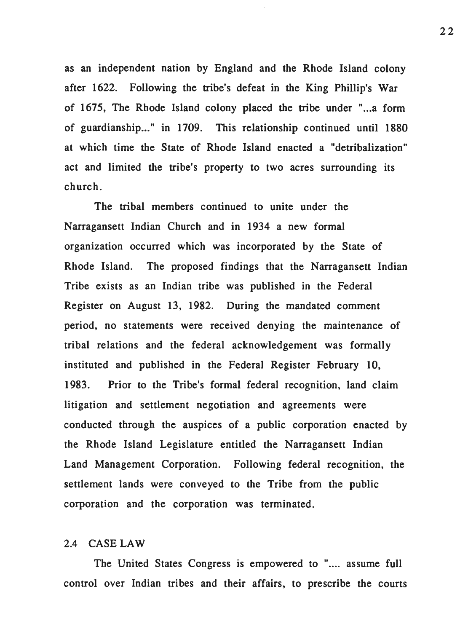as an independent nation by England and the Rhode Island colony after 1622. Following the tribe's defeat in the King Phillip's War of 1675, The Rhode Island colony placed the tribe under "...a form of guardianship..." in 1709. This relationship continued until 1880 at which time the State of Rhode Island enacted a "detribalization" act and limited the tribe's property to two acres surrounding its church.

The tribal members continued to unite under the Narragansett Indian Church and in 1934 a new formal organization occurred which was incorporated by the State of Rhode Island. The proposed findings that the Narragansett Indian Tribe exists as an Indian tribe was published in the Federal Register on August 13, 1982. During the mandated comment period, no statements were received denying the maintenance of tribal relations and the federal acknowledgement was formally instituted and published in the Federal Register February 10, 1983. Prior to the Tribe's formal federal recognition, land claim litigation and settlement negotiation and agreements were conducted through the auspices of a public corporation enacted by the Rhode Island Legislature entitled the Narragansett Indian Land Management Corporation. Following federal recognition, the settlement lands were conveyed to the Tribe from the public corporation and the corporation was terminated.

## 2.4 CASE LAW

The United States Congress is empowered to ".... assume full control over Indian tribes and their affairs, to prescribe the courts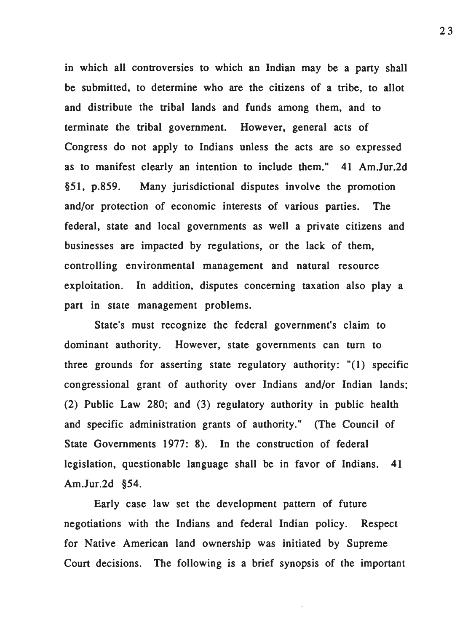in which all controversies to which an Indian may be a party shall be submitted, to determine who are the citizens of a tribe, to allot and distribute the tribal lands and funds among them, and to terminate the tribal government. However, general acts of Congress do not apply to Indians unless the acts are so expressed as to manifest clearly an intention to include them." 41 Am.Jur.2d §51, p.859. Many jurisdictional disputes involve the promotion and/or protection of economic interests of various parties. The federal, state and local governments as well a private citizens and businesses are impacted by regulations, or the lack of them, controlling environmental management and natural resource exploitation. In addition, disputes concerning taxation also play a part in state management problems.

State's must recognize the federal government's claim to dominant authority. However, state governments can turn to three grounds for asserting state regulatory authority: "(l) specific congressional grant of authority over Indians and/or Indian lands; (2) Public Law 280; and (3) regulatory authority in public health and specific administration grants of authority." (The Council of State Governments 1977: 8). In the construction of federal legislation, questionable language shall be in favor of Indians. 41 Am.Jur.2d §54.

Early case law set the development pattern of future negotiations with the Indians and federal Indian policy. Respect for Native American land ownership was initiated by Supreme Court decisions. The following is a brief synopsis of the important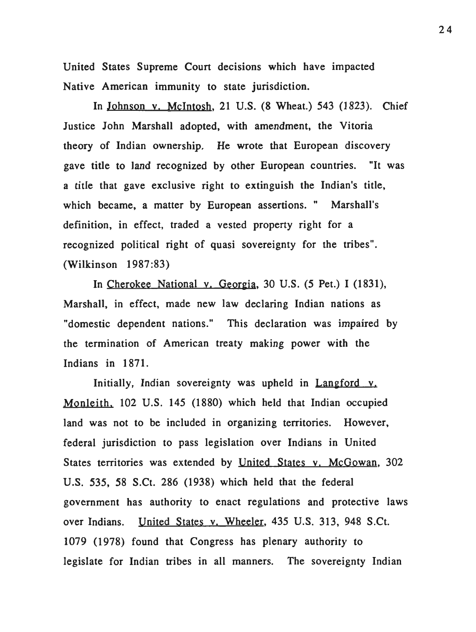United States Supreme Court decisions which have impacted Native American immunity to state jurisdiction.

In Johnson y. Mcintosh, 21 U.S. (8 Wheat.) 543 (1823). Chief Justice John Marshall adopted, with amendment, the Vitoria theory of Indian ownership. He wrote that European discovery gave title to land recognized by other European countries. "It was a title that gave exclusive right to extinguish the Indian's title, which became, a matter by European assertions. " Marshall's definition, in effect, traded a vested property right for a recognized political right of quasi sovereignty for the tribes". (Wilkinson 1987 :83)

In Cherokee National y. Georgia, 30 U.S. (5 Pet.) I (1831), Marshall, in effect, made new law declaring Indian nations as "domestic dependent nations." This declaration was impaired by the termination of American treaty making power with the Indians in 1871.

Initially, Indian sovereignty was upheld in Langford v. Monteith, 102 U.S. 145 (1880) which held that Indian occupied land was not to be included in organizing territories. However, federal jurisdiction to pass legislation over Indians in United States territories was extended by United States v. McGowan, 302 U.S. 535, 58 S.Ct. 286 (1938) which held that the federal government has authority to enact regulations and protective laws over Indians. United States v. Wheeler, 435 U.S. 313, 948 S.Ct. 1079 (1978) found that Congress has plenary authority to legislate for Indian tribes in all manners. The sovereignty Indian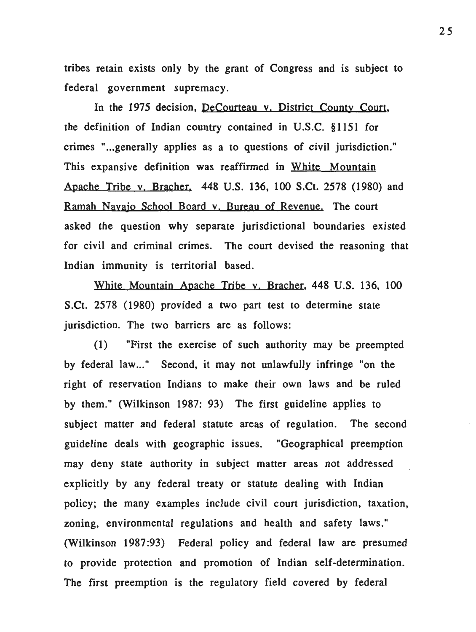tribes retain exists only by the grant of Congress and is subject to federal government supremacy.

In the 1975 decision, DeCourteau y. District County Court, the definition of Indian country contained in U.S.C. §1151 for crimes "... generally applies as a to questions of civil jurisdiction." This expansive definition was reaffirmed in White Mountain Apache Tribe v. Bracher. 448 U.S. 136, 100 S.Ct. 2578 (1980) and Ramah Navajo School Board y. Bureau of Revenue. The court asked the question why separate jurisdictional boundaries existed for civil and criminal crimes. The court devised the reasoning that Indian immunity is territorial based.

White Mountain Apache Tribe v. Bracher, 448 U.S. 136, 100 S.Ct. 2578 (1980) provided a two part test to determine state jurisdiction. The two barriers are as follows:

(1) "First the exercise of such authority may be preempted by federal law..." Second, it may not unlawfully infringe "on the right of reservation Indians to make their own laws and be ruled by them." (Wilkinson 1987: 93) The first guideline applies to subject matter and federal statute areas of regulation. The second guideline deals with geographic issues. "Geographical preemption may deny state authority in subject matter areas not addressed explicitly by any federal treaty or statute dealing with Indian policy; the many examples include civil court jurisdiction, taxation, zoning, environmental regulations and health and safety laws." (Wilkinson 1987:93) Federal policy and federal law are presumed to provide protection and promotion of Indian self-determination. The first preemption is the regulatory field covered by federal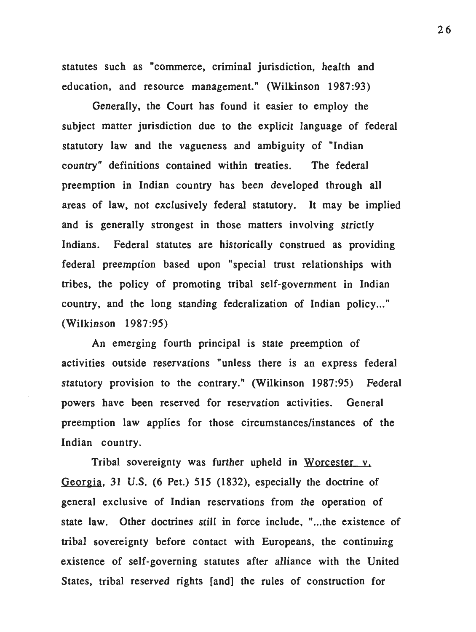statutes such as "commerce, criminal jurisdiction, health and education, and resource management." (Wilkinson 1987:93)

Generally, the Court has found it easier to employ the subject matter jurisdiction due to the explicit language of federal statutory law and the vagueness and ambiguity of "Indian country" definitions contained within treaties. The federal preemption in Indian country has been developed through all areas of law, not exclusively federal statutory. It may be implied and is generally strongest in those matters involving strictly Indians. Federal statutes are historically construed as providing federal preemption based upon "special trust relationships with tribes, the policy of promoting tribal self-government in Indian country, and the long standing federalization of Indian policy..." (Wilkinson 1987:95)

An emerging fourth principal is state preemption of activities outside reservations "unless there is an express federal statutory provision to the contrary." (Wilkinson 1987:95) Federal powers have been reserved for reservation activities. General preemption law applies for those circumstances/instances of the Indian country.

Tribal sovereignty was further upheld in Worcester v. Georgia, 31 U.S. (6 Pet.) 515 (1832), especially the doctrine of general exclusive of Indian reservations from the operation of state law. Other doctrines still in force include, "...the existence of tribal sovereignty before contact with Europeans, the continuing existence of self-governing statutes after alliance with the United States, tribal reserved rights [and] the rules of construction for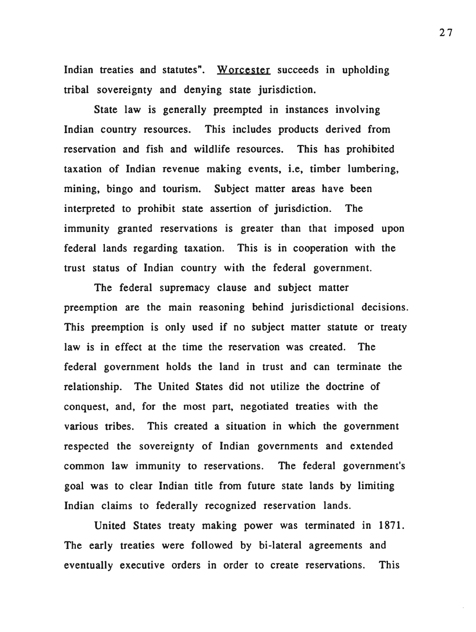Indian treaties and statutes". Worcester succeeds in upholding tribal sovereignty and denying state jurisdiction.

State law is generally preempted in instances involving Indian country resources. This includes products derived from reservation and fish and wildlife resources. This has prohibited taxation of Indian revenue making events, i.e, timber lumbering, mining, bingo and tourism. Subject matter areas have been interpreted to prohibit state assertion of jurisdiction. The immunity granted reservations is greater than that imposed upon federal lands regarding taxation. This is in cooperation with the trust status of Indian country with the federal government.

The federal supremacy clause and subject matter preemption are the main reasoning behind jurisdictional decisions. This preemption is only used if no subject matter statute or treaty law is in effect at the time the reservation was created. The federal government holds the land in trust and can terminate the relationship. The United States did not utilize the doctrine of conquest, and, for the most part, negotiated treaties with the various tribes. This created a situation in which the government respected the sovereignty of Indian governments and extended common law immunity to reservations. The federal government's goal was to clear Indian title from future state lands by limiting Indian claims to federally recognized reservation lands.

United States treaty making power was terminated in 1871. The early treaties were followed by bi-lateral agreements and eventually executive orders in order to create reservations. This

27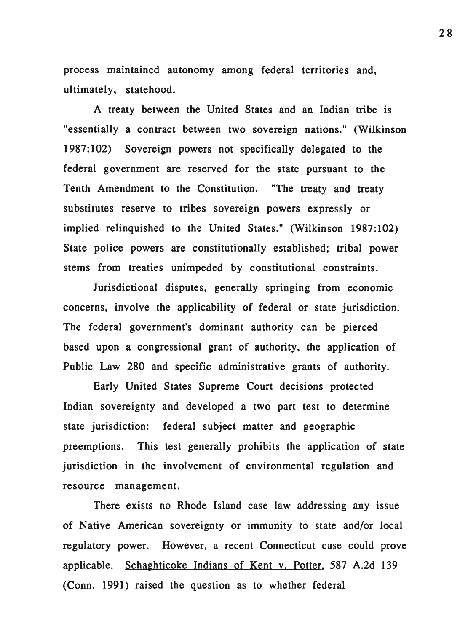process maintained autonomy among federal territories and, ultimately, statehood.

A treaty between the United States and an Indian tribe is "essentially a contract between two sovereign nations." (Wilkinson 1987: 102) Sovereign powers not specifically delegated to the federal government are reserved for the state pursuant to the Tenth Amendment to the Constitution. "The treaty and treaty substitutes reserve to tribes sovereign powers expressly or implied relinquished to the United States." (Wilkinson 1987:102) State police powers are constitutionally established; tribal power stems from treaties unimpeded by constitutional constraints.

Jurisdictional disputes, generally springing from economic concerns, involve the applicability of federal or state jurisdiction. The federal government's dominant authority can be pierced based upon a congressional grant of authority, the application of Public Law 280 and specific administrative grants of authority.

Early United States Supreme Court decisions protected Indian sovereignty and developed a two part test to determine state jurisdiction: federal subject matter and geographic preemptions. This test generally prohibits the application of state jurisdiction in the involvement of environmental regulation and resource management.

There exists no Rhode Island case law addressing any issue of Native American sovereignty or immunity to state and/or local regulatory power. However, a recent Connecticut case could prove applicable. Schaghticoke Indians of Kent v. Potter, 587 A.2d 139 (Conn. 1991) raised the question as to whether federal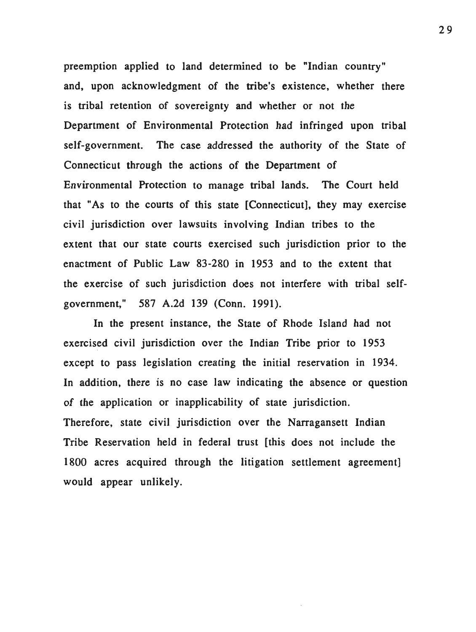preemption applied to land determined to be "Indian country" and, upon acknowledgment of the tribe's existence, whether there is tribal retention of sovereignty and whether or not the Department of Environmental Protection had infringed upon tribal self-government. The case addressed the authority of the State of Connecticut through the actions of the Department of Environmental Protection to manage tribal lands. The Court held that "As to the courts of this state [Connecticut], they may exercise civil jurisdiction over lawsuits involving Indian tribes to the extent that our state courts exercised such jurisdiction prior to the enactment of Public Law 83-280 in 1953 and to the extent that the exercise of such jurisdiction does not interfere with tribal selfgovernment," 587 A.2d 139 (Conn. 1991).

In the present instance, the State of Rhode Island had not exercised civil jurisdiction over the Indian Tribe prior to 1953 except to pass legislation creating the initial reservation in 1934. In addition, there is no case law indicating the absence or question of the application or inapplicability of state jurisdiction. Therefore, state civil jurisdiction over the Narragansett Indian Tribe Reservation held in federal trust [this does not include the 1800 acres acquired through the litigation settlement agreement] would appear unlikely.

29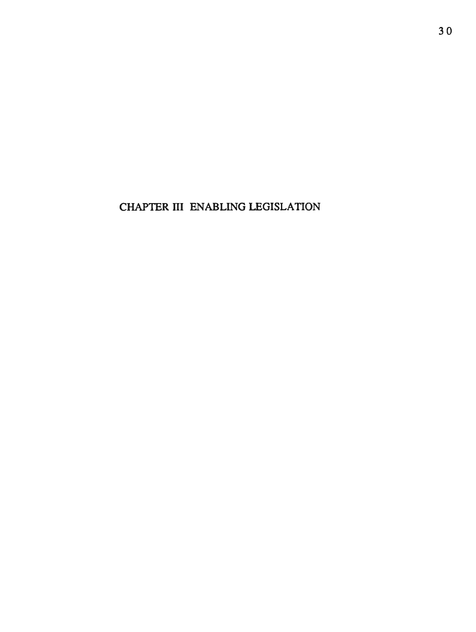CHAPTER III ENABLING LEGISLATION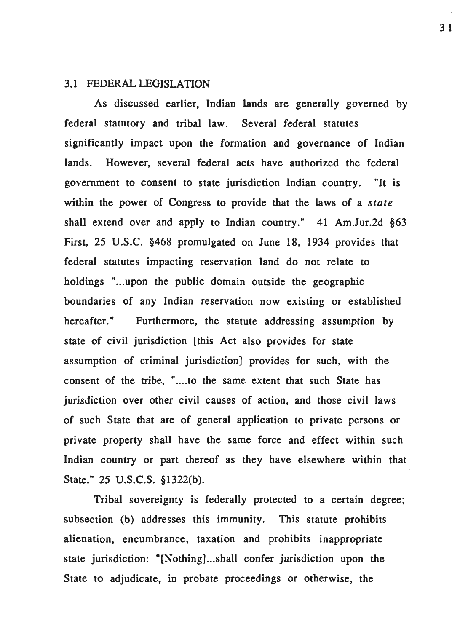#### 3.1 FEDERAL LEGISLATION

As discussed earlier, Indian lands are generally governed by federal statutory and tribal law. Several federal statutes significantly impact upon the formation and governance of Indian lands. However, several federal acts have authorized the federal government to consent to state jurisdiction Indian country. "It is within the power of Congress to provide that the laws of a *state*  shall extend over and apply to Indian country." 41 Am.Jur.2d §63 First, 25 U.S.C. §468 promulgated on June 18, 1934 provides that federal statutes impacting reservation land do not relate to holdings "...upon the public domain outside the geographic boundaries of any Indian reservation now existing or established hereafter." Furthermore, the statute addressing assumption by state of civil jurisdiction [this Act also provides for state assumption of criminal jurisdiction] provides for such, with the consent of the tribe, ".... to the same extent that such State has jurisdiction over other civil causes of action, and those civil laws of such State that are of general application to private persons or private property shall have the same force and effect within such Indian country or part thereof as they have elsewhere within that State." 25 U.S.C.S. §1322(b).

Tribal sovereignty is federally protected to a certain degree; subsection (b) addresses this immunity. This statute prohibits alienation, encumbrance, taxation and prohibits inappropriate state jurisdiction: "[Nothing]...shall confer jurisdiction upon the State to adjudicate, in probate proceedings or otherwise, the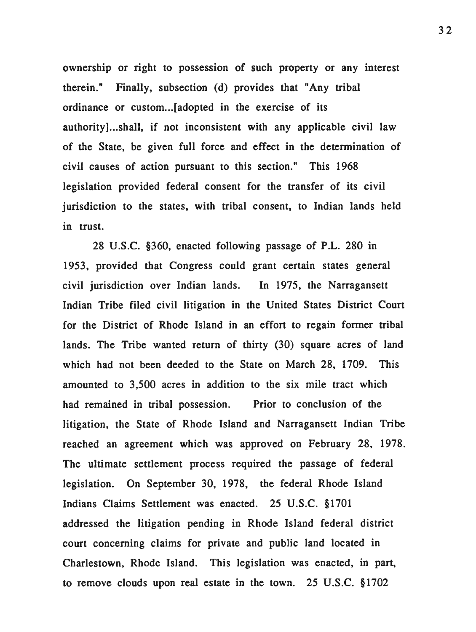ownership or right to possession of such property or any interest therein." Finally, subsection (d) provides that "Any tribal ordinance or custom... [adopted in the exercise of its authority]...shall, if not inconsistent with any applicable civil law of the State, be given full force and effect in the determination of civil causes of action pursuant to this section." This 1968 legislation provided federal consent for the transfer of its civil jurisdiction to the states, with tribal consent, to Indian lands held m trust.

28 U.S.C. §360, enacted following passage of P.L. 280 in 1953, provided that Congress could grant certain states general civil jurisdiction over Indian lands. In 1975, the Narragansett Indian Tribe filed civil litigation in the United States District Court for the District of Rhode Island in an effort to regain former tribal lands. The Tribe wanted return of thirty (30) square acres of land which had not been deeded to the State on March 28, 1709. This amounted to 3,500 acres in addition to the six mile tract which had remained in tribal possession. Prior to conclusion of the litigation, the State of Rhode Island and Narragansett Indian Tribe reached an agreement which was approved on February 28, 1978. The ultimate settlement process required the passage of federal legislation. On September 30, 1978, the federal Rhode Island Indians Claims Settlement was enacted. 25 U.S.C. §1701 addressed the litigation pending in Rhode Island federal district court concerning claims for private and public land located in Charlestown, Rhode Island. This legislation was enacted, in part, to remove clouds upon real estate in the town. 25 U.S.C. §1702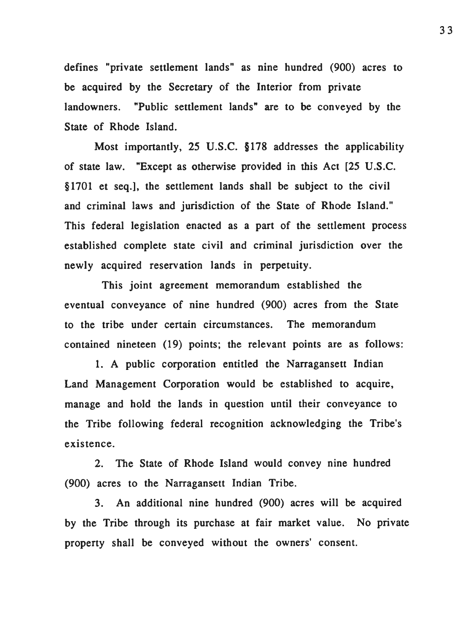defines "private settlement lands" as nine hundred (900) acres to be acquired by the Secretary of the Interior from private landowners. "Public settlement lands" are to be conveyed by the State of Rhode Island.

Most importantly, 25 U.S.C. § 178 addresses the applicability of state law. "Except as otherwise provided in this Act [25 U.S.C. § 1701 et seq.], the settlement lands shall be subject to the civil and criminal laws and jurisdiction of the State of Rhode Island." This federal legislation enacted as a part of the settlement process established complete state civil and criminal jurisdiction over the newly acquired reservation lands in perpetuity.

This joint agreement memorandum established the eventual conveyance of nine hundred (900) acres from the State to the tribe under certain circumstances. The memorandum contained nineteen (19) points; the relevant points are as follows:

1. A public corporation entitled the Narragansett Indian Land Management Corporation would be established to acquire, manage and hold the lands in question until their conveyance to the Tribe following federal recognition acknowledging the Tribe's existence.

2. The State of Rhode Island would convey nine hundred (900) acres to the Narragansett Indian Tribe.

3. An additional nine hundred (900) acres will be acquired by the Tribe through its purchase at fair market value. No private property shall be conveyed without the owners' consent.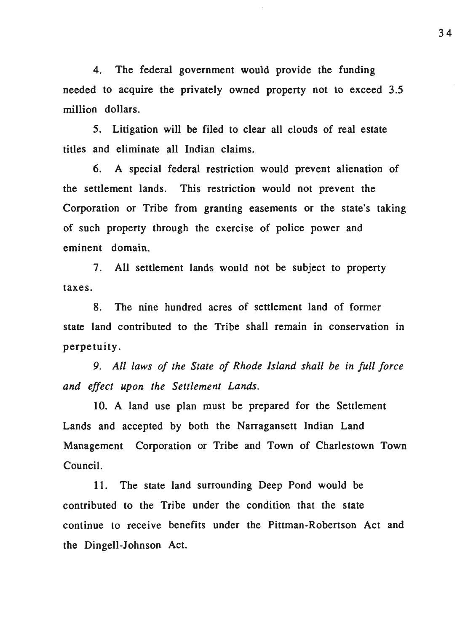4. The federal government would provide the funding needed to acquire the privately owned property not to exceed 3.5 million dollars.

5. Litigation will be filed to clear all clouds of real estate titles and eliminate all Indian claims.

6. A special federal restriction would prevent alienation of the settlement lands. This restriction would not prevent the Corporation or Tribe from granting easements or the state's taking of such property through the exercise of police power and eminent domain.

7. All settlement lands would not be subject to property taxes.

8. The nine hundred acres of settlement land of former state land contributed to the Tribe shall remain in conservation in perpetuity.

*9. All laws of the State of Rhode Island shall be in full force and effect upon the Settlement lands.* 

10. A land use plan must be prepared for the Settlement Lands and accepted by both the Narragansett Indian Land Management Corporation or Tribe and Town of Charlestown Town Council.

11. The state land surrounding Deep Pond would be contributed to the Tribe under the condition that the state continue to receive benefits under the Pittman-Robertson Act and the Dingell-Johnson Act.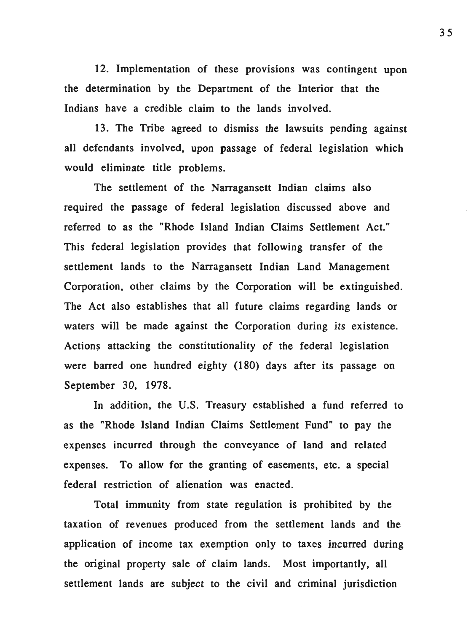12. Implementation of these provisions was contingent upon the determination by the Department of the Interior that the Indians have a credible claim to the lands involved.

13. The Tribe agreed to dismiss the lawsuits pending against all defendants involved, upon passage of federal legislation which would eliminate title problems.

The settlement of the Narragansett Indian claims also required the passage of federal legislation discussed above and referred to as the "Rhode Island Indian Claims Settlement Act." This federal legislation provides that following transfer of the settlement lands to the Narragansett Indian Land Management Corporation, other claims by the Corporation will be extinguished. The Act also establishes that all future claims regarding lands or waters will be made against the Corporation during its existence. Actions attacking the constitutionality of the federal legislation were barred one hundred eighty (180) days after its passage on September 30, 1978.

In addition, the U.S. Treasury established a fund referred to as the "Rhode Island Indian Claims Settlement Fund" to pay the expenses incurred through the conveyance of land and related expenses. To allow for the granting of easements, etc. a special federal restriction of alienation was enacted.

Total immunity from state regulation is prohibited by the taxation of revenues produced from the settlement lands and the application of income tax exemption only to taxes incurred during the original property sale of claim lands. Most importantly, all settlement lands are subject to the civil and criminal jurisdiction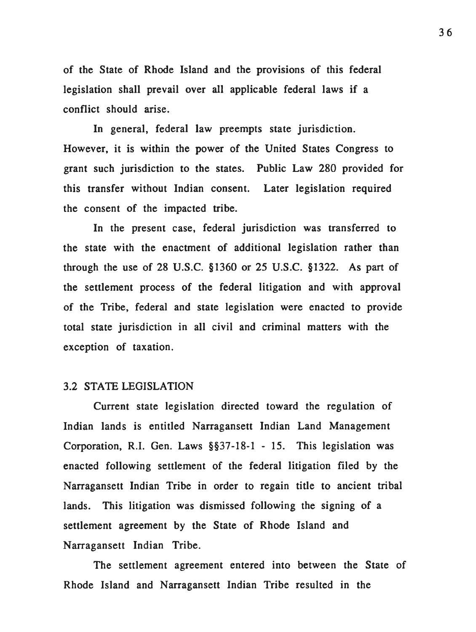of the State of Rhode Island and the provisions of this federal legislation shall prevail over all applicable federal laws if a conflict should arise.

In general, federal law preempts state jurisdiction. However, it is within the power of the United States Congress to grant such jurisdiction to the states. Public Law 280 provided for this transfer without Indian consent. Later legislation required the consent of the impacted tribe.

In the present case, federal jurisdiction was transferred to the state with the enactment of additional legislation rather than through the use of 28 U.S.C. §1360 or 25 U.S.C. §1322. As part of the settlement process of the federal litigation and with approval of the Tribe, federal and state legislation were enacted to provide total state jurisdiction in all civil and criminal matters with the exception of taxation.

#### 3.2 STA TE LEGISLATION

Current state legislation directed toward the regulation of Indian lands is entitled Narragansett Indian Land Management Corporation, R.I. Gen. Laws §§37-18-1 - 15. This legislation was enacted following settlement of the federal litigation filed by the Narragansett Indian Tribe in order to regain title to ancient tribal lands. This litigation was dismissed following the signing of a settlement agreement by the State of Rhode Island and Narragansett Indian Tribe.

The settlement agreement entered into between the State of Rhode Island and Narragansett Indian Tribe resulted in the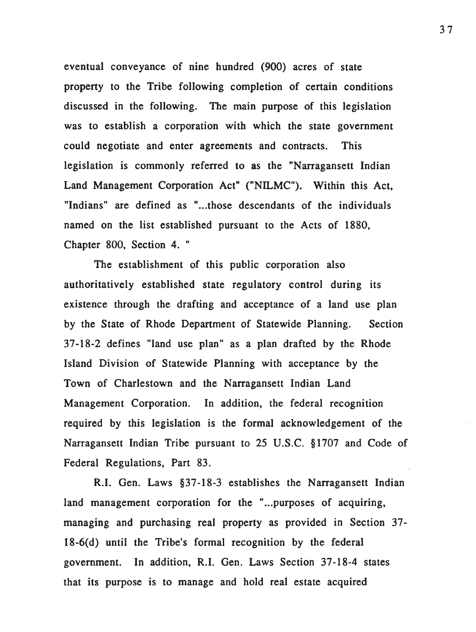eventual conveyance of nine hundred (900) acres of state property to the Tribe following completion of certain conditions discussed in the following. The main purpose of this legislation was to establish a corporation with which the state government could negotiate and enter agreements and contracts. This legislation is commonly referred to as the "Narragansett Indian Land Management Corporation Act" ("NILMC"). Within this Act, "Indians" are defined as "...those descendants of the individuals named on the list established pursuant to the Acts of 1880, Chapter 800, Section 4. "

The establishment of this public corporation also authoritatively established state regulatory control during its existence through the drafting and acceptance of a land use plan by the State of Rhode Department of Statewide Planning. Section 37-18-2 defines "land use plan" as a plan drafted by the Rhode Island Division of Statewide Planning with acceptance by the Town of Charlestown and the Narragansett Indian Land Management Corporation. In addition, the federal recognition required by this legislation is the formal acknowledgement of the Narragansett Indian Tribe pursuant to 25 U.S.C. §1707 and Code of Federal Regulations, Part 83.

R.I. Gen. Laws §37-18-3 establishes the Narragansett Indian land management corporation for the "... purposes of acquiring, managing and purchasing real property as provided in Section 37-18-6(d) until the Tribe's formal recognition by the federal government. In addition, R.I. Gen. Laws Section 37-18-4 states that its purpose is to manage and hold real estate acquired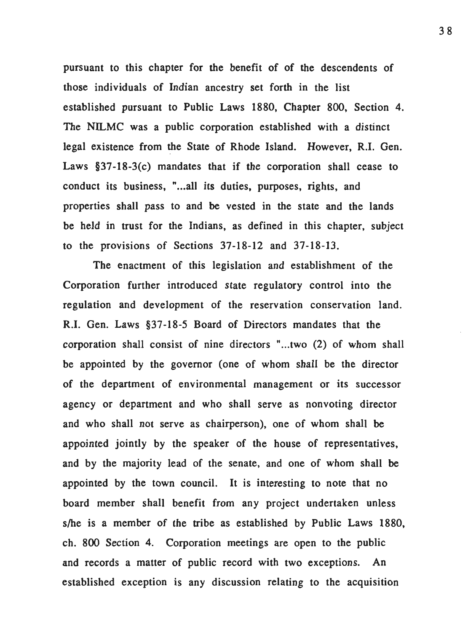pursuant to this chapter for the benefit of of the descendents of those individuals of Indian ancestry set forth in the list established pursuant to Public Laws 1880, Chapter 800, Section 4. The NILMC was a public corporation established with a distinct legal existence from the State of Rhode Island. However, R.I. Gen. Laws §37-18-3(c) mandates that if the corporation shall cease to conduct its business, "... all its duties, purposes, rights, and properties shall pass to and be vested in the state and the lands be held in trust for the Indians, as defined in this chapter, subject to the provisions of Sections 37-18-12 and 37-18-13.

The enactment of this legislation and establishment of the Corporation further introduced state regulatory control into the regulation and development of the reservation conservation land. R.I. Gen. Laws §37-18-5 Board of Directors mandates that the corporation shall consist of nine directors "...two (2) of whom shall be appointed by the governor (one of whom shall be the director of the department of environmental management or its successor agency or department and who shall serve as nonvoting director and who shall not serve as chairperson), one of whom shall be appointed jointly by the speaker of the house of representatives, and by the majority lead of the senate, and one of whom shall be appointed by the town council. It is interesting to note that no board member shall benefit from any project undertaken unless s/he is a member of the tribe as established by Public Laws 1880, ch. 800 Section 4. Corporation meetings are open to the public and records a matter of public record with two exceptions. An established exception is any discussion relating to the acquisition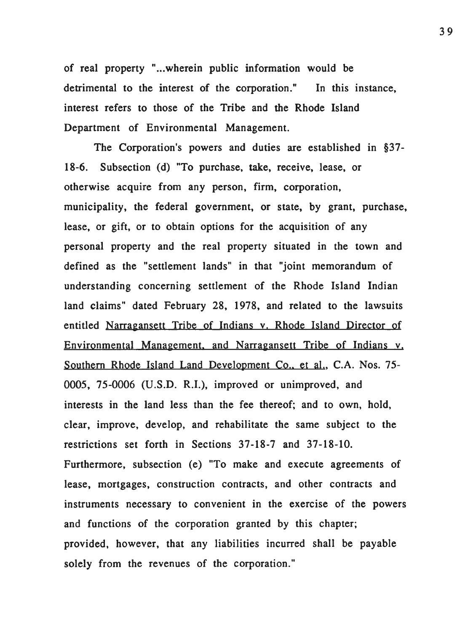of real property "...wherein public information would be detrimental to the interest of the corporation." In this instance, interest refers to those of the Tribe and the Rhode Island Department of Environmental Management.

The Corporation's powers and duties are established in  $§37$ -18-6. Subsection (d) "To purchase, take, receive, lease, or otherwise acquire from any person, firm, corporation, municipality, the federal government, or state, by grant, purchase, lease, or gift, or to obtain options for the acquisition of any personal property and the real property situated in the town and defined as the "settlement lands" in that "joint memorandum of understanding concerning settlement of the Rhode Island Indian land claims" dated February 28, 1978, and related to the lawsuits entitled Narragansett Tribe of Indians v. Rhode Island Director of Environmental Management. and Narragansett Tribe of Indians v. Southern Rhode Island Land Development Co., et al., C.A. Nos. 75-0005, 75-0006 (U.S.D. R.I.), improved or unimproved, and interests in the land less than the fee thereof; and to own, hold, clear, improve, develop, and rehabilitate the same subject to the restrictions set forth in Sections 37-18-7 and 37-18-10. Furthermore, subsection (e) "To make and execute agreements of lease, mortgages, construction contracts, and other contracts and instruments necessary to convenient in the exercise of the powers and functions of the corporation granted by this chapter; provided, however, that any liabilities incurred shall be payable solely from the revenues of the corporation."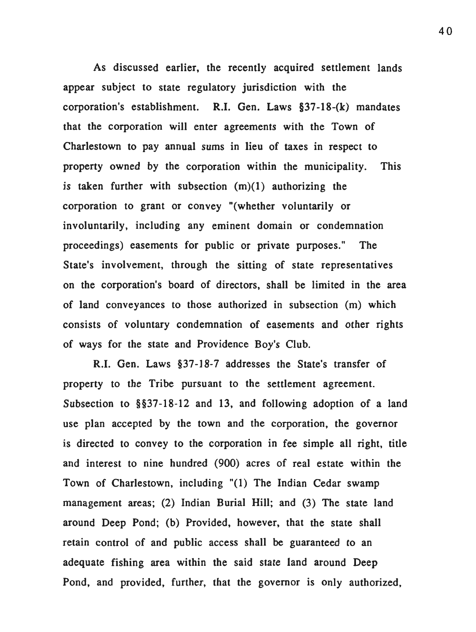As discussed earlier, the recently acquired settlement lands appear subject to state regulatory jurisdiction with the corporation's establishment. R.I. Gen. Laws §37-18-(k) mandates that the corporation will enter agreements with the Town of Charlestown to pay annual sums in lieu of taxes in respect to property owned by the corporation within the municipality. This is taken further with subsection  $(m)(1)$  authorizing the corporation to grant or convey "(whether voluntarily or involuntarily, including any eminent domain or condemnation proceedings) easements for public or private purposes." The State's involvement, through the sitting of state representatives on the corporation's board of directors, shall be limited in the area of land conveyances to those authorized in subsection (m) which consists of voluntary condemnation of easements and other rights of ways for the state and Providence Boy's Club.

R.I. Gen. Laws §37-18-7 addresses the State's transfer of property to the Tribe pursuant to the settlement agreement. Subsection to §§37-18-12 and 13, and following adoption of a land use plan accepted by the town and the corporation, the governor is directed to convey to the corporation in fee simple all right, title and interest to nine hundred (900) acres of real estate within the Town of Charlestown, including "(1) The Indian Cedar swamp management areas; (2) Indian Burial Hill; and (3) The state land around Deep Pond; (b) Provided, however, that the state shall retain control of and public access shall be guaranteed to an adequate fishing area within the said state land around Deep Pond, and provided, further, that the governor is only authorized,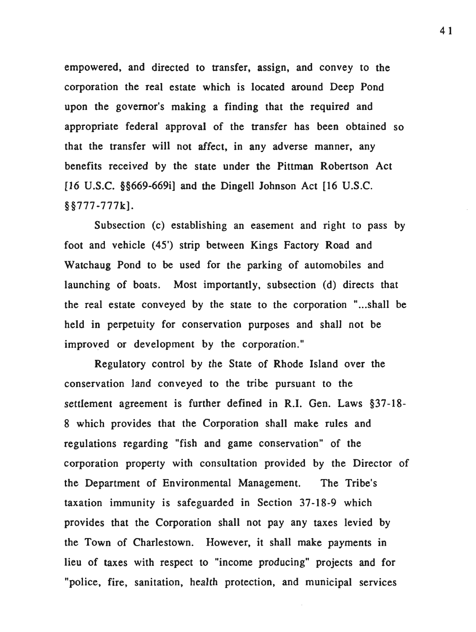empowered, and directed to transfer, assign, and convey to the corporation the real estate which is located around Deep Pond upon the governor's making a finding that the required and appropriate federal approval of the transfer has been obtained so that the transfer will not affect, in any adverse manner, any benefits received by the state under the Pittman Robertson Act [16 U.S.C. §§669-669i] and the Dingell Johnson Act [16 U.S.C. §§777-777k].

Subsection (c) establishing an easement and right to pass by foot and vehicle (45') strip between Kings Factory Road and Watchaug Pond to be used for the parking of automobiles and launching of boats. Most importantly, subsection (d) directs that the real estate conveyed by the state to the corporation "...shall be held in perpetuity for conservation purposes and shall not be improved or development by the corporation."

Regulatory control by the State of Rhode Island over the conservation land conveyed to the tribe pursuant to the settlement agreement is further defined in R.I. Gen. Laws §37-18- 8 which provides that the Corporation shall make rules and regulations regarding "fish and game conservation" of the corporation property with consultation provided by the Director of the Department of Environmental Management. The Tribe's taxation immunity is safeguarded in Section 37-18-9 which provides that the Corporation shall not pay any taxes levied by the Town of Charlestown. However, it shall make payments in lieu of taxes with respect to "income producing" projects and for "police, fire, sanitation, health protection, and municipal services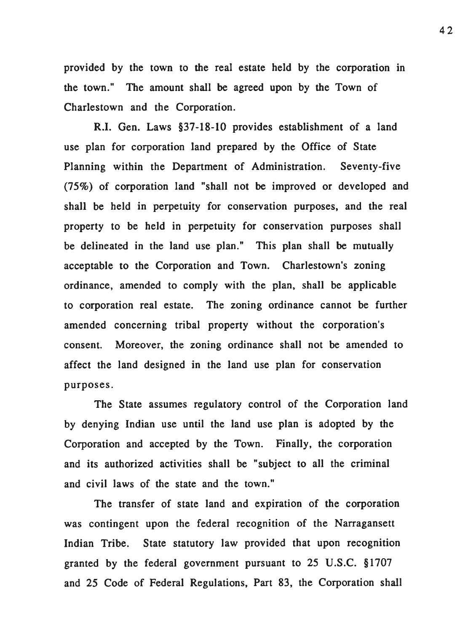provided by the town to the real estate held by the corporation in the town." The amount shall be agreed upon by the Town of Charlestown and the Corporation.

R.I. Gen. Laws §37-18-10 provides establishment of a land use plan for corporation land prepared by the Office of State Planning within the Department of Administration. Seventy-five (75%) of corporation land "shall not be improved or developed and shall be held in perpetuity for conservation purposes, and the real property to be held in perpetuity for conservation purposes shall be delineated in the land use plan." This plan shall be mutually acceptable to the Corporation and Town. Charlestown's zoning ordinance, amended to comply with the plan, shall be applicable to corporation real estate. The zoning ordinance cannot be further amended concerning tribal property without the corporation's consent. Moreover, the zoning ordinance shall not be amended to affect the land designed in the land use plan for conservation purposes.

The State assumes regulatory control of the Corporation land by denying Indian use until the land use plan is adopted by the Corporation and accepted by the Town. Finally, the corporation and its authorized activities shall be "subject to all the criminal and civil laws of the state and the town."

The transfer of state land and expiration of the corporation was contingent upon the federal recognition of the Narragansett Indian Tribe. State statutory law provided that upon recognition granted by the federal government pursuant to 25 U.S.C. § 1707 and 25 Code of Federal Regulations, Part 83, the Corporation shall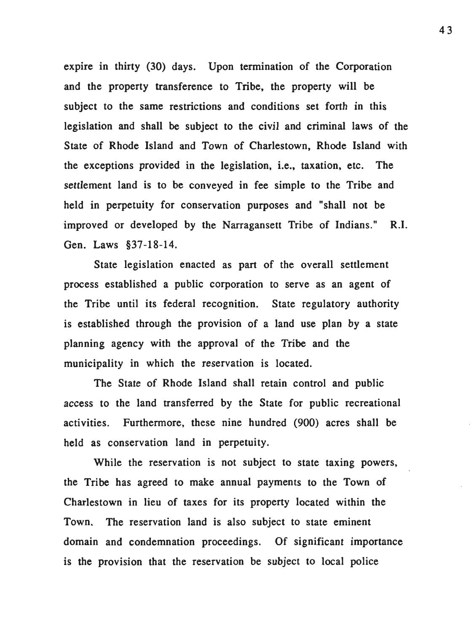expire in thirty (30) days. Upon termination of the Corporation and the property transference to Tribe, the property will be subject to the same restrictions and conditions set forth in this legislation and shall be subject to the civil and criminal laws of the State of Rhode Island and Town of Charlestown, Rhode Island with the exceptions provided in the legislation, i.e., taxation, etc. The settlement land is to be conveyed in fee simple to the Tribe and held in perpetuity for conservation purposes and "shall not be improved or developed by the Narragansett Tribe of Indians." R.I. Gen. Laws §37-18-14.

State legislation enacted as part of the overall settlement process established a public corporation to serve as an agent of the Tribe until its federal recognition. State regulatory authority is established through the provision of a land use plan by a state planning agency with the approval of the Tribe and the municipality in which the reservation is located.

The State of Rhode Island shall retain control and public access to the land transferred by the State for public recreational activities. Furthermore, these nine hundred (900) acres shall be held as conservation land in perpetuity.

While the reservation is not subject to state taxing powers, the Tribe has agreed to make annual payments to the Town of Charlestown in lieu of taxes for its property located within the Town. The reservation land is also subject to state eminent domain and condemnation proceedings. Of significant importance is the provision that the reservation be subject to local police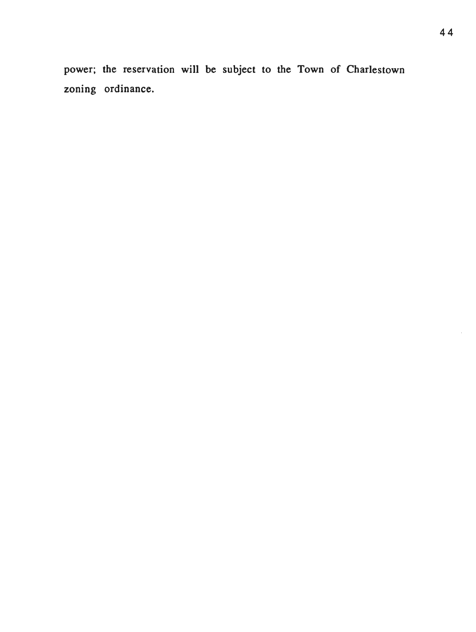power; the reservation will be subject to the Town of Charlestown zoning ordinance.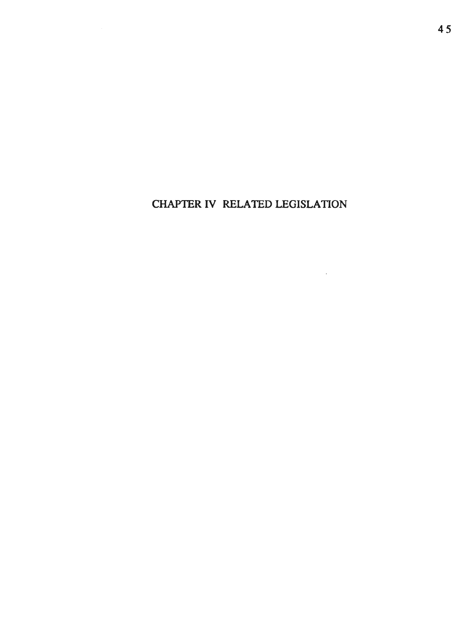# CHAPTER IV RELATED LEGISLATION

 $\sim 10^{-10}$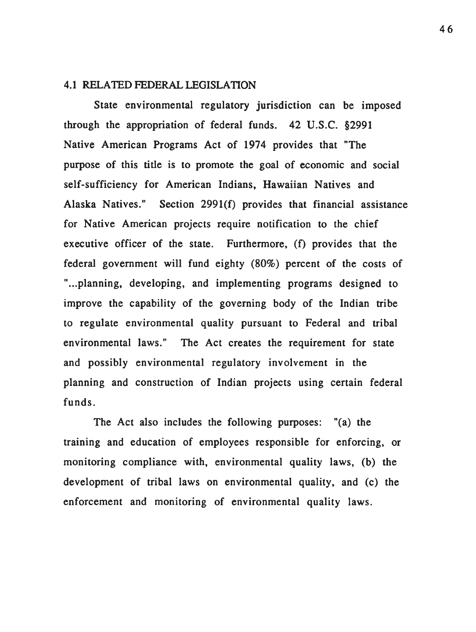#### 4.1 RELATED FEDERAL LEGISLATION

State environmental regulatory jurisdiction can be imposed through the appropriation of federal funds. 42 U.S.C. §2991 Native American Programs Act of 1974 provides that "The purpose of this title is to promote the goal of economic and social self-sufficiency for American Indians, Hawaiian Natives and Alaska Natives." Section 2991(f) provides that financial assistance for Native American projects require notification to the chief executive officer of the state. Furthermore, (f) provides that the federal government will fund eighty (80%) percent of the costs of "... planning, developing, and implementing programs designed to improve the capability of the governing body of the Indian tribe to regulate environmental quality pursuant to Federal and tribal environmental laws." The Act creates the requirement for state and possibly environmental regulatory involvement in the planning and construction of Indian projects using certain federal funds.

The Act also includes the following purposes: "(a) the training and education of employees responsible for enforcing, or monitoring compliance with, environmental quality laws, (b) the development of tribal laws on environmental quality, and (c) the enforcement and monitoring of environmental quality laws.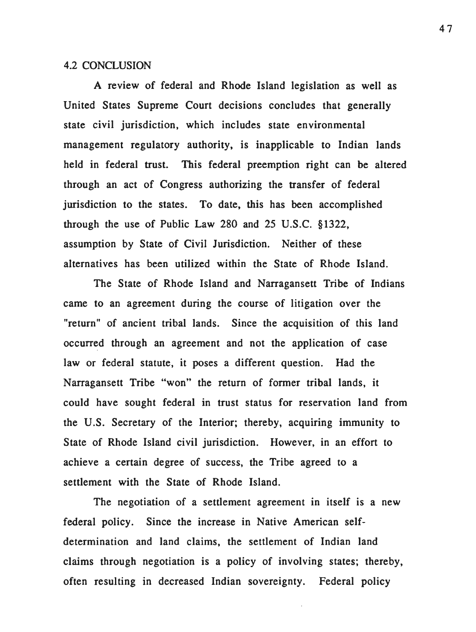## 4.2 CONCLUSION

A review of federal and Rhode Island legislation as well as United States Supreme Court decisions concludes that generally state civil jurisdiction, which includes state environmental management regulatory authority, is inapplicable to Indian lands held in federal trust. This federal preemption right can be altered through an act of Congress authorizing the transfer of federal jurisdiction to the states. To date, this has been accomplished through the use of Public Law 280 and 25 U.S.C. § 1322, assumption by State of Civil Jurisdiction. Neither of these alternatives has been utilized within the State of Rhode Island.

The State of Rhode Island and Narragansett Tribe of Indians came to an agreement during the course of litigation over the "return" of ancient tribal lands. Since the acquisition of this land occurred through an agreement and not the application of case law or federal statute, it poses a different question. Had the Narragansett Tribe "won" the return of former tribal lands, it could have sought federal in trust status for reservation land from the U.S. Secretary of the Interior; thereby, acquiring immunity to State of Rhode Island civil jurisdiction. However, in an effort to achieve a certain degree of success, the Tribe agreed to a settlement with the State of Rhode Island.

The negotiation of a settlement agreement in itself is a new federal policy. Since the increase in Native American selfdetermination and land claims, the settlement of Indian land claims through negotiation is a policy of involving states; thereby, often resulting in decreased Indian sovereignty. Federal policy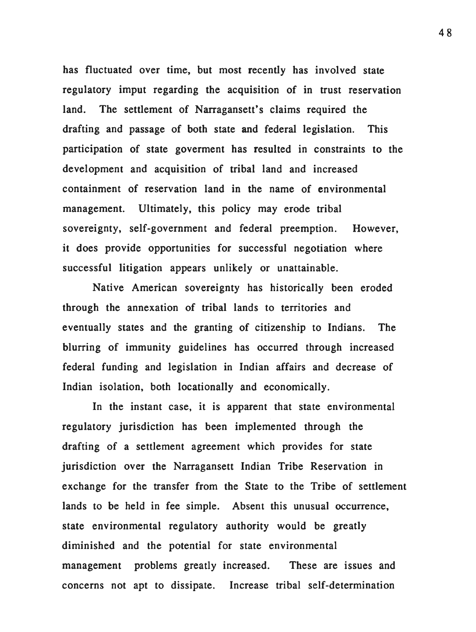has fluctuated over time, but most recently has involved state regulatory imput regarding the acquisition of in trust reservation land. The settlement of Narragansett's claims required the drafting and passage of both state and federal legislation. This participation of state goverment has resulted in constraints to the development and acquisition of tribal land and increased containment of reservation land in the name of environmental management. Ultimately, this policy may erode tribal sovereignty, self-government and federal preemption. However, it does provide opportunities for successful negotiation where successful litigation appears unlikely or unattainable.

Native American sovereignty has historically been eroded through the annexation of tribal lands to territories and eventually states and the granting of citizenship to Indians. The blurring of immunity guidelines has occurred through increased federal funding and legislation in Indian affairs and decrease of Indian isolation, both locationally and economically.

In the instant case, it is apparent that state environmental regulatory jurisdiction has been implemented through the drafting of a settlement agreement which provides for state jurisdiction over the Narragansett Indian Tribe Reservation in exchange for the transfer from the State to the Tribe of settlement lands to be held in fee simple. Absent this unusual occurrence, state environmental regulatory authority would be greatly diminished and the potential for state environmental management problems greatly increased. These are issues and concerns not apt to dissipate. Increase tribal self-determination

48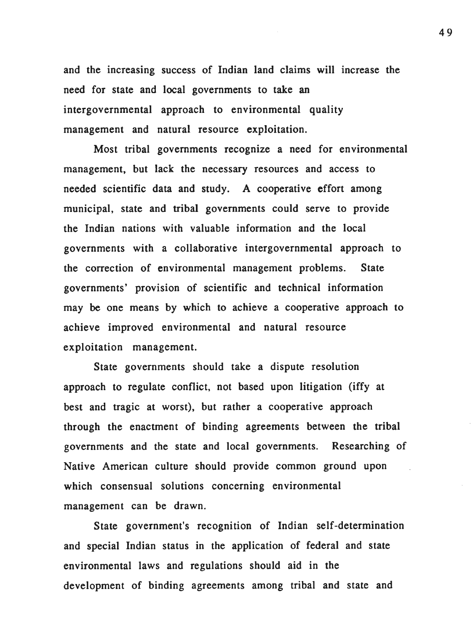and the increasing success of Indian land claims will increase the need for state and local governments to take an intergovernmental approach to environmental quality management and natural resource exploitation.

Most tribal governments recognize a need for environmental management, but lack the necessary resources and access to needed scientific data and study. A cooperative effort among municipal, state and tribal governments could serve to provide the Indian nations with valuable information and the local governments with a collaborative intergovernmental approach to the correction of environmental management problems. State governments' provision of scientific and technical information may be one means by which to achieve a cooperative approach to achieve improved environmental and natural resource exploitation management.

State governments should take a dispute resolution approach to regulate conflict, not based upon litigation (iffy at best and tragic at worst), but rather a cooperative approach through the enactment of binding agreements between the tribal governments and the state and local governments. Researching of Native American culture should provide common ground upon which consensual solutions concerning environmental management can be drawn.

State government's recognition of Indian self-determination and special Indian status in the application of federal and state environmental laws and regulations should aid in the development of binding agreements among tribal and state and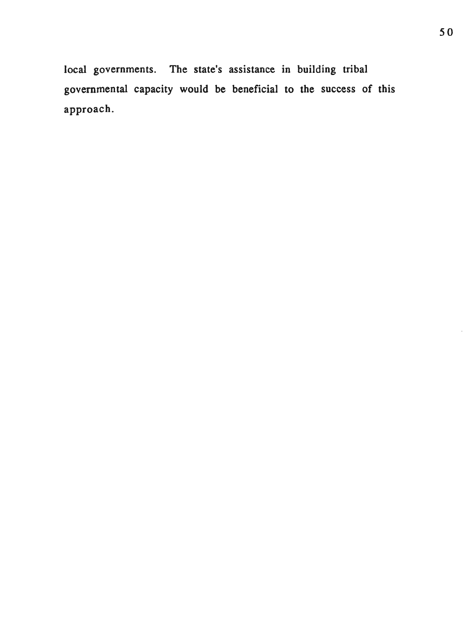local governments. The state's assistance in building tribal governmental capacity would be beneficial to the success of this approach.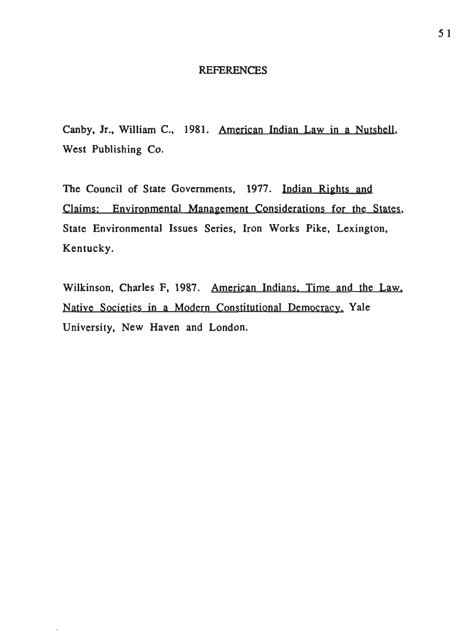## **REFERENCES**

Canby, Jr., William C., 1981. American Indian Law in a Nutshell, West Publishing Co.

The Council of State Governments, 1977. Indian Rights and Claims: Environmental Management Considerations for the States, State Environmental Issues Series, Iron Works Pike, Lexington, Kentucky.

Wilkinson, Charles F, 1987. American Indians. Time and the Law. Native Societies in a Modern Constitutional Democracy. Yale University, New Haven and London.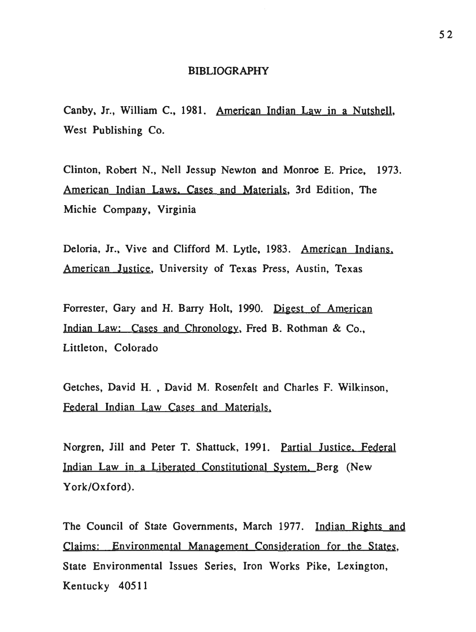#### BIBLIOGRAPHY

Canby, Jr., William C., 1981. American Indian Law in a Nutshell, West Publishing Co.

Clinton, Robert N., Nell Jessup Newton and Monroe E. Price, 1973. American Indian Laws. Cases and Materials, 3rd Edition, The Michie Company, Virginia

Deloria, Jr., Vive and Clifford M. Lytle, 1983. American Indians. American Justice, University of Texas Press, Austin, Texas

Forrester, Gary and H. Barry Holt, 1990. Digest of American Indian Law: Cases and Chronology, Fred B. Rothman & Co., Littleton, Colorado

Getches, David H. , David M. Rosenfelt and Charles F. Wilkinson, Federal Indian Law Cases and Materials.

Norgren, Jill and Peter T. Shattuck, 1991. Partial Justice. Federal Indian Law in a Liberated Constitutional System. Berg (New York/Oxford).

The Council of State Governments, March 1977. Indian Rights and Claims: Environmental Management Consideration for the States, State Environmental Issues Series, Iron Works Pike, Lexington, Kentucky 40511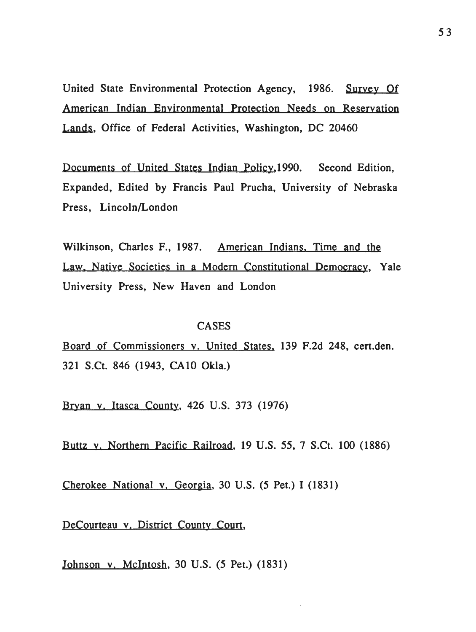United State Environmental Protection Agency, 1986. Survey Of American Indian Environmental Protection Needs on Reservation Lands, Office of Federal Activities, Washington, DC 20460

Documents of United States Indian Policy,1990. Second Edition, Expanded, Edited by Francis Paul Prucha, University of Nebraska Press, Lincoln/London

Wilkinson, Charles F., 1987. American Indians. Time and the Law. Native Societies in a Modern Constitutional Democracy, Yale University Press, New Haven and London

#### CASES

Board of Commissioners y. United States. 139 F.2d 248, cert.den. 321 S.Ct. 846 (1943, CAlO Okla.)

Bryan v. Itasca County, 426 U.S. 373 (1976)

Buttz v. Northern Pacific Railroad, 19 U.S. 55, 7 S.Ct. 100 (1886)

Cherokee National v. Georgia, 30 U.S. (5 Pet.) I (1831)

DeCourteau v. District County Court,

Johnson v. Mcintosh, 30 U.S. (5 Pet.) (1831)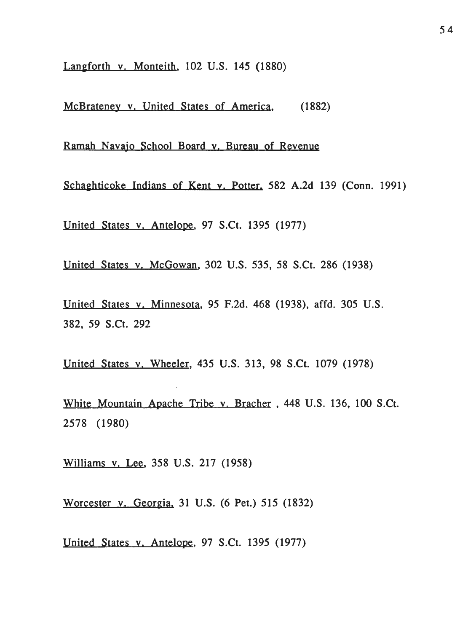Langforth v. Monteith, 102 U.S. 145 (1880)

McBrateney v. United States of America, (1882)

Ramah Navajo School Board y. Bureau of Revenue

Schaghticoke Indians of Kent y. Potter, 582 A.2d 139 (Conn. 1991)

United States v. Antelope, 97 S.Ct. 1395 (1977)

United States v. McGowan, 302 U.S. 535, 58 S.Ct. 286 (1938)

United States v. Minnesota, 95 F.2d. 468 (1938), affd. 305 U.S. 382, 59 S.Ct. 292

United States v. Wheeler, 435 U.S. 313, 98 S.Ct. 1079 (1978)

White Mountain Apache Tribe v. Bracher , 448 U.S. 136, 100 S.Ct. 2578 (1980)

Williams v. Lee, 358 U.S. 217 (1958)

Worcester v. Georgia. 31 U.S. (6 Pet.) 515 (1832)

United States v. Antelope, 97 S.Ct. 1395 (1977)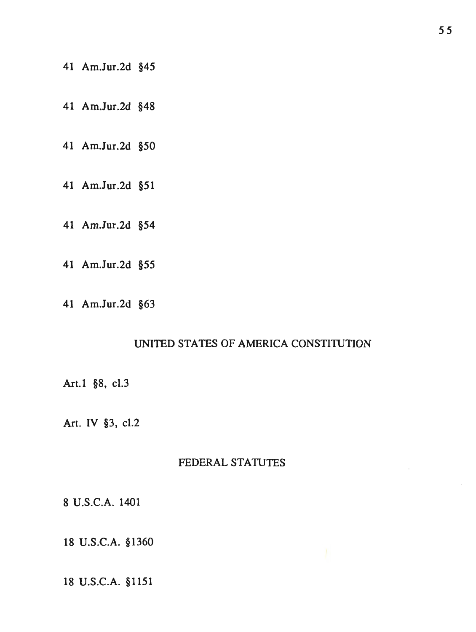- 41 Am.Jur.2d §45
- 41 Am.Jur.2d §48
- 41 Am.Jur.2d §50
- 41 Am.Jur.2d §51
- 41 Am.Jur.2d §54
- 41 Am.Jur.2d §55
- 41 Am.Jur.2d §63

## UNITED STATES OF AMERICA CONSTITUTION

Art.1 §8, cl.3

Art. IV §3, cl.2

## FEDERAL STATUTES

8 U.S.C.A. 1401

18 U.S.C.A. §1360

## 18 U.S.C.A. §1151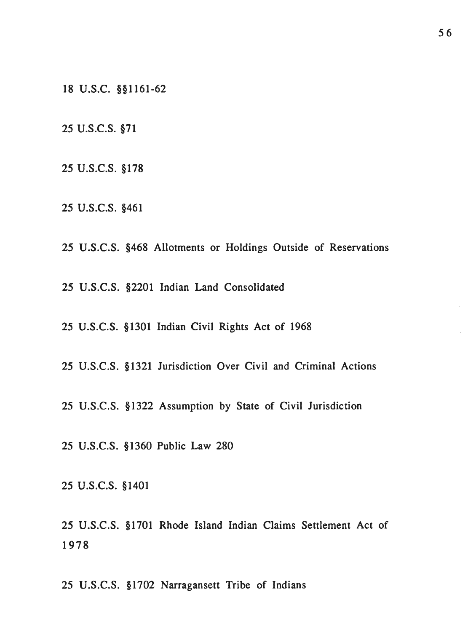18 u.s.c. §§1161-62

25 u.s.c.s. §71

- 25 u.s.c.s. §178
- 25 u.s.c.s. §461
- 25 U.S.C.S. §468 Allotments or Holdings Outside of Reservations

25 U.S.C.S. §2201 Indian Land Consolidated

25 U.S.C.S. §1301 Indian Civil Rights Act of 1968

25 U.S.C.S. § 1321 Jurisdiction Over Civil and Criminal Actions

25 U.S.C.S. §1322 Assumption by State of Civil Jurisdiction

25 U.S.C.S. §1360 Public Law 280

25 u.s.c.s. § 1401

25 U.S.C.S. §1701 Rhode Island Indian Claims Settlement Act of 1978

25 U.S.C.S. §1702 Narragansett Tribe of Indians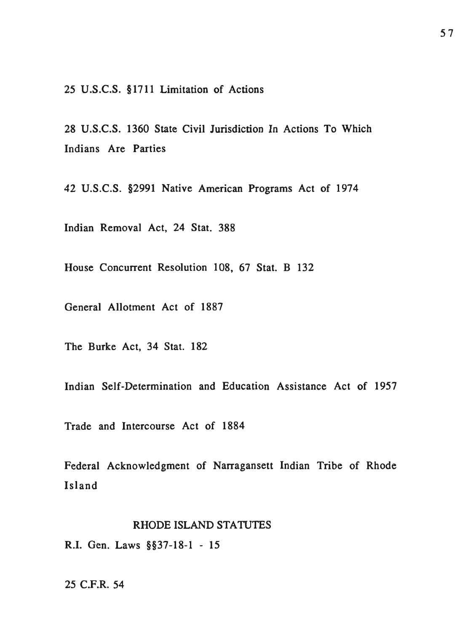25 U.S.C.S. §1711 Limitation of Actions

28 U.S.C.S. 1360 State Civil Jurisdiction In Actions To Which Indians Are Parties

42 U.S.C.S. §2991 Native American Programs Act of 1974

Indian Removal Act, 24 Stat. 388

House Concurrent Resolution 108, 67 Stat. B 132

General Allotment Act of 1887

The Burke Act, 34 Stat. 182

Indian Self-Determination and Education Assistance Act of 1957

Trade and Intercourse Act of 1884

Federal Acknowledgment of Narragansett Indian Tribe of Rhode Island

#### RHODE ISLAND STATUTES

R.I. Gen. Laws §§37-18-1 - 15

## 25 C.F.R. 54